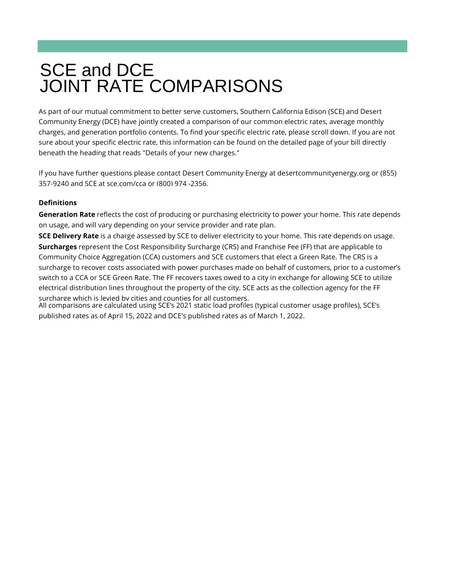# SCE and DCE JOINT RATE COMPARISONS

## **Definitions**

As part of our mutual commitment to better serve customers, Southern California Edison (SCE) and Desert Community Energy (DCE) have jointly created a comparison of our common electric rates, average monthly charges, and generation portfolio contents. To find your specific electric rate, please scroll down. If you are not sure about your specific electric rate, this information can be found on the detailed page of your bill directly beneath the heading that reads "Details of your new charges."

If you have further questions please contact Desert Community Energy at desertcommunityenergy.org or (855) 357-9240 and SCE at sce.com/cca or (800) 974 -2356.

**Generation Rate** reflects the cost of producing or purchasing electricity to power your home. This rate depends on usage, and will vary depending on your service provider and rate plan.

**SCE Delivery Rate** is a charge assessed by SCE to deliver electricity to your home. This rate depends on usage. **Surcharges** represent the Cost Responsibility Surcharge (CRS) and Franchise Fee (FF) that are applicable to Community Choice Aggregation (CCA) customers and SCE customers that elect a Green Rate. The CRS is a surcharge to recover costs associated with power purchases made on behalf of customers, prior to a customer's switch to a CCA or SCE Green Rate. The FF recovers taxes owed to a city in exchange for allowing SCE to utilize electrical distribution lines throughout the property of the city. SCE acts as the collection agency for the FF surcharge which is levied by cities and counties for all customers.

All comparisons are calculated using SCE's 2021 static load profiles (typical customer usage profiles), SCE's published rates as of April 15, 2022 and DCE's published rates as of March 1, 2022.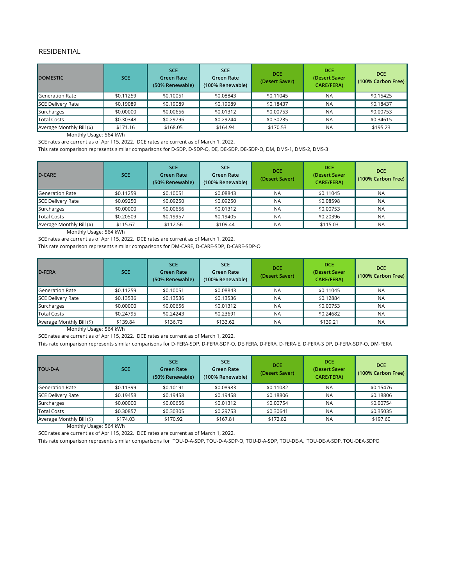#### RESIDENTIAL

Monthly Usage: 564 kWh

SCE rates are current as of April 15, 2022. DCE rates are current as of March 1, 2022.

Monthly Usage: 564 kWh

SCE rates are current as of April 15, 2022. DCE rates are current as of March 1, 2022.

| <b>DOMESTIC</b>           | <b>SCE</b> | <b>SCE</b><br><b>Green Rate</b><br>(50% Renewable) | <b>SCE</b><br>Green Rate<br>(100% Renewable) | <b>DCE</b><br>(Desert Saver) | <b>DCE</b><br>(Desert Saver<br><b>CARE/FERA)</b> | <b>DCE</b><br>(100% Carbon Free) |
|---------------------------|------------|----------------------------------------------------|----------------------------------------------|------------------------------|--------------------------------------------------|----------------------------------|
| Generation Rate           | \$0.11259  | \$0.10051                                          | \$0.08843                                    | \$0.11045                    | <b>NA</b>                                        | \$0.15425                        |
| SCE Delivery Rate         | \$0.19089  | \$0.19089                                          | \$0.19089                                    | \$0.18437                    | <b>NA</b>                                        | \$0.18437                        |
| Surcharges                | \$0.00000  | \$0.00656                                          | \$0.01312                                    | \$0.00753                    | <b>NA</b>                                        | \$0.00753                        |
| Total Costs               | \$0.30348  | \$0.29796                                          | \$0.29244                                    | \$0.30235                    | <b>NA</b>                                        | \$0.34615                        |
| Average Monthly Bill (\$) | \$171.16   | \$168.05                                           | \$164.94                                     | \$170.53                     | <b>NA</b>                                        | \$195.23                         |

Monthly Usage: 564 kWh

SCE rates are current as of April 15, 2022. DCE rates are current as of March 1, 2022.

Monthly Usage: 564 kWh

| D-CARE                    | <b>SCE</b> | <b>SCE</b><br><b>Green Rate</b><br>(50% Renewable) | <b>SCE</b><br><b>Green Rate</b><br>(100% Renewable) | <b>DCE</b><br>(Desert Saver) | <b>DCE</b><br>(Desert Saver<br><b>CARE/FERA)</b> | <b>DCE</b><br>(100% Carbon Free) |
|---------------------------|------------|----------------------------------------------------|-----------------------------------------------------|------------------------------|--------------------------------------------------|----------------------------------|
| Generation Rate           | \$0.11259  | \$0.10051                                          | \$0.08843                                           | <b>NA</b>                    | \$0.11045                                        | <b>NA</b>                        |
| SCE Delivery Rate         | \$0.09250  | \$0.09250                                          | \$0.09250                                           | <b>NA</b>                    | \$0.08598                                        | <b>NA</b>                        |
| Surcharges                | \$0.00000  | \$0.00656                                          | \$0.01312                                           | <b>NA</b>                    | \$0.00753                                        | <b>NA</b>                        |
| Total Costs               | \$0.20509  | \$0.19957                                          | \$0.19405                                           | <b>NA</b>                    | \$0.20396                                        | <b>NA</b>                        |
| Average Monthly Bill (\$) | \$115.67   | \$112.56                                           | \$109.44                                            | <b>NA</b>                    | \$115.03                                         | <b>NA</b>                        |

SCE rates are current as of April 15, 2022. DCE rates are current as of March 1, 2022.

| D-FERA                    | <b>SCE</b> | <b>SCE</b><br><b>Green Rate</b><br>(50% Renewable) | <b>SCE</b><br>Green Rate<br>(100% Renewable) | <b>DCE</b><br>(Desert Saver) | <b>DCE</b><br>(Desert Saver<br><b>CARE/FERA)</b> | <b>DCE</b><br>(100% Carbon Free) |
|---------------------------|------------|----------------------------------------------------|----------------------------------------------|------------------------------|--------------------------------------------------|----------------------------------|
| Generation Rate           | \$0.11259  | \$0.10051                                          | \$0.08843                                    | <b>NA</b>                    | \$0.11045                                        | <b>NA</b>                        |
| SCE Delivery Rate         | \$0.13536  | \$0.13536                                          | \$0.13536                                    | <b>NA</b>                    | \$0.12884                                        | <b>NA</b>                        |
| Surcharges                | \$0.00000  | \$0.00656                                          | \$0.01312                                    | <b>NA</b>                    | \$0.00753                                        | <b>NA</b>                        |
| Total Costs               | \$0.24795  | \$0.24243                                          | \$0.23691                                    | <b>NA</b>                    | \$0.24682                                        | <b>NA</b>                        |
| Average Monthly Bill (\$) | \$139.84   | \$136.73                                           | \$133.62                                     | <b>NA</b>                    | \$139.21                                         | <b>NA</b>                        |

This rate comparison represents similar comparisons for D-FERA-SDP, D-FERA-SDP-O, DE-FERA, D-FERA, D-FERA-E, D-FERA-S DP, D-FERA-SDP-O, DM-FERA

| <b>TOU-D-A</b>            | <b>SCE</b> | <b>SCE</b><br><b>Green Rate</b><br>(50% Renewable) | <b>SCE</b><br><b>Green Rate</b><br>(100% Renewable) | <b>DCE</b><br>(Desert Saver) | <b>DCE</b><br>(Desert Saver<br><b>CARE/FERA)</b> | <b>DCE</b><br>(100% Carbon Free) |
|---------------------------|------------|----------------------------------------------------|-----------------------------------------------------|------------------------------|--------------------------------------------------|----------------------------------|
| <b>Generation Rate</b>    | \$0.11399  | \$0.10191                                          | \$0.08983                                           | \$0.11082                    | <b>NA</b>                                        | \$0.15476                        |
| SCE Delivery Rate         | \$0.19458  | \$0.19458                                          | \$0.19458                                           | \$0.18806                    | <b>NA</b>                                        | \$0.18806                        |
| Surcharges                | \$0.00000  | \$0.00656                                          | \$0.01312                                           | \$0.00754                    | <b>NA</b>                                        | \$0.00754                        |
| <b>Total Costs</b>        | \$0.30857  | \$0.30305                                          | \$0.29753                                           | \$0.30641                    | <b>NA</b>                                        | \$0.35035                        |
| Average Monthly Bill (\$) | \$174.03   | \$170.92                                           | \$167.81                                            | \$172.82                     | <b>NA</b>                                        | \$197.60                         |

This rate comparison represents similar comparisons for TOU-D-A-SDP, TOU-D-A-SDP-O, TOU-D-A-SDP, TOU-DE-A, TOU-DE-A-SDP, TOU-DEA-SDPO

This rate comparison represents similar comparisons for D‐SDP, D‐SDP‐O, DE, DE‐SDP, DE‐SDP‐O, DM, DMS‐1, DMS‐2, DMS‐3

This rate comparison represents similar comparisons for DM-CARE, D-CARE-SDP, D-CARE-SDP-O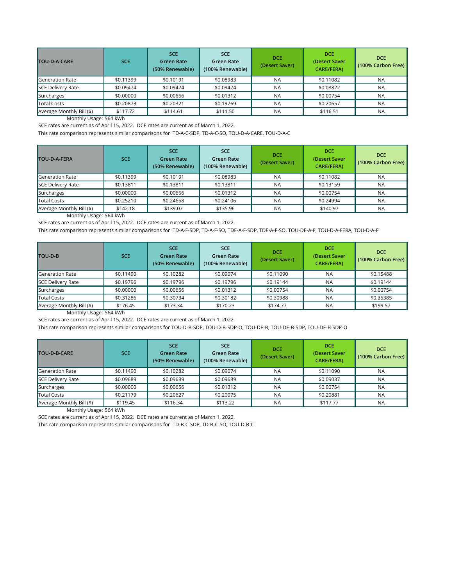SCE rates are current as of April 15, 2022. DCE rates are current as of March 1, 2022.

Monthly Usage: 564 kWh

SCE rates are current as of April 15, 2022. DCE rates are current as of March 1, 2022.

| <b>TOU-D-A-CARE</b>       | <b>SCE</b> | <b>SCE</b><br><b>Green Rate</b><br>(50% Renewable) | SCE.<br>Green Rate<br>(100% Renewable) | <b>DCE</b><br>(Desert Saver) | <b>DCE</b><br>(Desert Saver<br><b>CARE/FERA)</b> | <b>DCE</b><br>(100% Carbon Free) |
|---------------------------|------------|----------------------------------------------------|----------------------------------------|------------------------------|--------------------------------------------------|----------------------------------|
| Generation Rate           | \$0.11399  | \$0.10191                                          | \$0.08983                              | <b>NA</b>                    | \$0.11082                                        | <b>NA</b>                        |
| <b>SCE Delivery Rate</b>  | \$0.09474  | \$0.09474                                          | \$0.09474                              | <b>NA</b>                    | \$0.08822                                        | <b>NA</b>                        |
| Surcharges                | \$0.00000  | \$0.00656                                          | \$0.01312                              | <b>NA</b>                    | \$0.00754                                        | <b>NA</b>                        |
| <b>Total Costs</b>        | \$0.20873  | \$0.20321                                          | \$0.19769                              | <b>NA</b>                    | \$0.20657                                        | <b>NA</b>                        |
| Average Monthly Bill (\$) | \$117.72   | \$114.61                                           | \$111.50                               | <b>NA</b>                    | \$116.51                                         | <b>NA</b>                        |

Monthly Usage: 564 kWh

SCE rates are current as of April 15, 2022. DCE rates are current as of March 1, 2022.

| <b>TOU-D-A-FERA</b>       | <b>SCE</b> | <b>SCE</b><br><b>Green Rate</b><br>(50% Renewable) | <b>SCE</b><br>Green Rate<br>(100% Renewable) | <b>DCE</b><br>(Desert Saver) | <b>DCE</b><br>(Desert Saver<br><b>CARE/FERA)</b> | <b>DCE</b><br>(100% Carbon Free) |
|---------------------------|------------|----------------------------------------------------|----------------------------------------------|------------------------------|--------------------------------------------------|----------------------------------|
| Generation Rate           | \$0.11399  | \$0.10191                                          | \$0.08983                                    | <b>NA</b>                    | \$0.11082                                        | <b>NA</b>                        |
| <b>SCE Delivery Rate</b>  | \$0.13811  | \$0.13811                                          | \$0.13811                                    | <b>NA</b>                    | \$0.13159                                        | <b>NA</b>                        |
| Surcharges                | \$0.00000  | \$0.00656                                          | \$0.01312                                    | <b>NA</b>                    | \$0.00754                                        | <b>NA</b>                        |
| Total Costs               | \$0.25210  | \$0.24658                                          | \$0.24106                                    | <b>NA</b>                    | \$0.24994                                        | <b>NA</b>                        |
| Average Monthly Bill (\$) | \$142.18   | \$139.07                                           | \$135.96                                     | <b>NA</b>                    | \$140.97                                         | <b>NA</b>                        |

Monthly Usage: 564 kWh

SCE rates are current as of April 15, 2022. DCE rates are current as of March 1, 2022.

| TOU-D-B                   | <b>SCE</b> | <b>SCE</b><br><b>Green Rate</b><br>(50% Renewable) | <b>SCE</b><br><b>Green Rate</b><br>(100% Renewable) | <b>DCE</b><br>(Desert Saver) | <b>DCE</b><br>(Desert Saver<br><b>CARE/FERA)</b> | <b>DCE</b><br>(100% Carbon Free) |
|---------------------------|------------|----------------------------------------------------|-----------------------------------------------------|------------------------------|--------------------------------------------------|----------------------------------|
| Generation Rate           | \$0.11490  | \$0.10282                                          | \$0.09074                                           | \$0.11090                    | <b>NA</b>                                        | \$0.15488                        |
| SCE Delivery Rate         | \$0.19796  | \$0.19796                                          | \$0.19796                                           | \$0.19144                    | <b>NA</b>                                        | \$0.19144                        |
| Surcharges                | \$0.00000  | \$0.00656                                          | \$0.01312                                           | \$0.00754                    | <b>NA</b>                                        | \$0.00754                        |
| Total Costs               | \$0.31286  | \$0.30734                                          | \$0.30182                                           | \$0.30988                    | <b>NA</b>                                        | \$0.35385                        |
| Average Monthly Bill (\$) | \$176.45   | \$173.34                                           | \$170.23                                            | \$174.77                     | <b>NA</b>                                        | \$199.57                         |

This rate comparison represents similar comparisons for TD-A-C-SDP, TD-A-C-SO, TOU-D-A-CARE, TOU-D-A-C

| <b>TOU-D-B-CARE</b>       | <b>SCE</b> | <b>SCE</b><br><b>Green Rate</b><br>(50% Renewable) | <b>SCE</b><br><b>Green Rate</b><br>(100% Renewable) | <b>DCE</b><br>(Desert Saver) | <b>DCE</b><br>(Desert Saver<br><b>CARE/FERA)</b> | <b>DCE</b><br>(100% Carbon Free) |
|---------------------------|------------|----------------------------------------------------|-----------------------------------------------------|------------------------------|--------------------------------------------------|----------------------------------|
| Generation Rate           | \$0.11490  | \$0.10282                                          | \$0.09074                                           | <b>NA</b>                    | \$0.11090                                        | <b>NA</b>                        |
| SCE Delivery Rate         | \$0.09689  | \$0.09689                                          | \$0.09689                                           | <b>NA</b>                    | \$0.09037                                        | <b>NA</b>                        |
| Surcharges                | \$0.00000  | \$0.00656                                          | \$0.01312                                           | <b>NA</b>                    | \$0.00754                                        | <b>NA</b>                        |
| Total Costs               | \$0.21179  | \$0.20627                                          | \$0.20075                                           | <b>NA</b>                    | \$0.20881                                        | <b>NA</b>                        |
| Average Monthly Bill (\$) | \$119.45   | \$116.34                                           | \$113.22                                            | <b>NA</b>                    | \$117.77                                         | <b>NA</b>                        |

This rate comparison represents similar comparisons for TD-A-F-SDP, TD-A-F-SO, TDE-A-F-SDP, TDE-A-F-SO, TOU-DE-A-F, TOU-D-A-FERA, TOU-D-A-F

This rate comparison represents similar comparisons for TD-B-C-SDP, TD-B-C-SO, TOU-D-B-C

This rate comparison represents similar comparisons for TOU‐D‐B‐SDP, TOU‐D‐B‐SDP-O, TOU‐DE‐B, TOU‐DE-B‐SDP, TOU‐DE-B‐SDP-O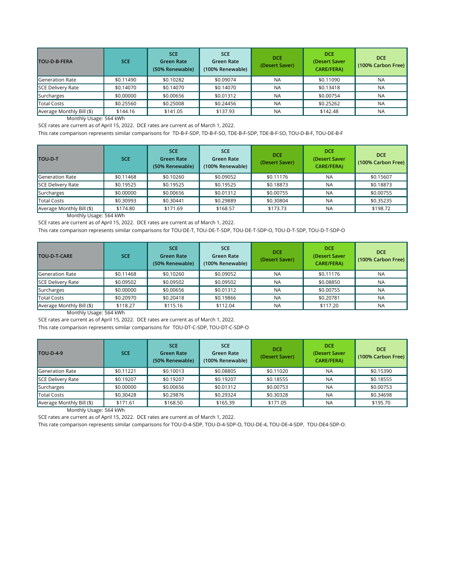SCE rates are current as of April 15, 2022. DCE rates are current as of March 1, 2022.

Monthly Usage: 564 kWh

SCE rates are current as of April 15, 2022. DCE rates are current as of March 1, 2022.

| <b>TOU-D-B-FERA</b>       | <b>SCE</b> | <b>SCE</b><br><b>Green Rate</b><br>(50% Renewable) | <b>SCE</b><br>Green Rate<br>(100% Renewable) | <b>DCE</b><br>(Desert Saver) | <b>DCE</b><br>(Desert Saver<br><b>CARE/FERA)</b> | <b>DCE</b><br>(100% Carbon Free) |
|---------------------------|------------|----------------------------------------------------|----------------------------------------------|------------------------------|--------------------------------------------------|----------------------------------|
| <b>Generation Rate</b>    | \$0.11490  | \$0.10282                                          | \$0.09074                                    | <b>NA</b>                    | \$0.11090                                        | <b>NA</b>                        |
| <b>SCE Delivery Rate</b>  | \$0.14070  | \$0.14070                                          | \$0.14070                                    | <b>NA</b>                    | \$0.13418                                        | <b>NA</b>                        |
| Surcharges                | \$0.00000  | \$0.00656                                          | \$0.01312                                    | <b>NA</b>                    | \$0.00754                                        | <b>NA</b>                        |
| <b>Total Costs</b>        | \$0.25560  | \$0.25008                                          | \$0.24456                                    | <b>NA</b>                    | \$0.25262                                        | <b>NA</b>                        |
| Average Monthly Bill (\$) | \$144.16   | \$141.05                                           | \$137.93                                     | <b>NA</b>                    | \$142.48                                         | <b>NA</b>                        |

Monthly Usage: 564 kWh

| <b>TOU-D-T</b>            | <b>SCE</b> | <b>SCE</b><br><b>Green Rate</b><br>(50% Renewable) | <b>SCE</b><br>Green Rate<br>(100% Renewable) | <b>DCE</b><br>(Desert Saver) | <b>DCE</b><br>(Desert Saver<br><b>CARE/FERA)</b> | <b>DCE</b><br>(100% Carbon Free) |
|---------------------------|------------|----------------------------------------------------|----------------------------------------------|------------------------------|--------------------------------------------------|----------------------------------|
| Generation Rate           | \$0.11468  | \$0.10260                                          | \$0.09052                                    | \$0.11176                    | <b>NA</b>                                        | \$0.15607                        |
| SCE Delivery Rate         | \$0.19525  | \$0.19525                                          | \$0.19525                                    | \$0.18873                    | <b>NA</b>                                        | \$0.18873                        |
| Surcharges                | \$0.00000  | \$0.00656                                          | \$0.01312                                    | \$0.00755                    | <b>NA</b>                                        | \$0.00755                        |
| Total Costs               | \$0.30993  | \$0.30441                                          | \$0.29889                                    | \$0.30804                    | <b>NA</b>                                        | \$0.35235                        |
| Average Monthly Bill (\$) | \$174.80   | \$171.69                                           | \$168.57                                     | \$173.73                     | <b>NA</b>                                        | \$198.72                         |

SCE rates are current as of April 15, 2022. DCE rates are current as of March 1, 2022.

Monthly Usage: 564 kWh

| <b>TOU-D-T-CARE</b>       | <b>SCE</b> | <b>SCE</b><br><b>Green Rate</b><br>(50% Renewable) | <b>SCE</b><br><b>Green Rate</b><br>(100% Renewable) | <b>DCE</b><br>(Desert Saver) | <b>DCE</b><br>(Desert Saver<br><b>CARE/FERA)</b> | <b>DCE</b><br>(100% Carbon Free) |
|---------------------------|------------|----------------------------------------------------|-----------------------------------------------------|------------------------------|--------------------------------------------------|----------------------------------|
| Generation Rate           | \$0.11468  | \$0.10260                                          | \$0.09052                                           | <b>NA</b>                    | \$0.11176                                        | <b>NA</b>                        |
| SCE Delivery Rate         | \$0.09502  | \$0.09502                                          | \$0.09502                                           | <b>NA</b>                    | \$0.08850                                        | <b>NA</b>                        |
| Surcharges                | \$0.00000  | \$0.00656                                          | \$0.01312                                           | <b>NA</b>                    | \$0.00755                                        | <b>NA</b>                        |
| <b>Total Costs</b>        | \$0.20970  | \$0.20418                                          | \$0.19866                                           | <b>NA</b>                    | \$0.20781                                        | <b>NA</b>                        |
| Average Monthly Bill (\$) | \$118.27   | \$115.16                                           | \$112.04                                            | <b>NA</b>                    | \$117.20                                         | <b>NA</b>                        |

SCE rates are current as of April 15, 2022. DCE rates are current as of March 1, 2022.

| <b>TOU-D-4-9</b>          | <b>SCE</b> | <b>SCE</b><br><b>Green Rate</b><br>(50% Renewable) | <b>SCE</b><br><b>Green Rate</b><br>(100% Renewable) | <b>DCE</b><br>(Desert Saver) | <b>DCE</b><br>(Desert Saver<br><b>CARE/FERA)</b> | <b>DCE</b><br>(100% Carbon Free) |
|---------------------------|------------|----------------------------------------------------|-----------------------------------------------------|------------------------------|--------------------------------------------------|----------------------------------|
| Generation Rate           | \$0.11221  | \$0.10013                                          | \$0.08805                                           | \$0.11020                    | <b>NA</b>                                        | \$0.15390                        |
| SCE Delivery Rate         | \$0.19207  | \$0.19207                                          | \$0.19207                                           | \$0.18555                    | <b>NA</b>                                        | \$0.18555                        |
| Surcharges                | \$0.00000  | \$0.00656                                          | \$0.01312                                           | \$0.00753                    | <b>NA</b>                                        | \$0.00753                        |
| Total Costs               | \$0.30428  | \$0.29876                                          | \$0.29324                                           | \$0.30328                    | <b>NA</b>                                        | \$0.34698                        |
| Average Monthly Bill (\$) | \$171.61   | \$168.50                                           | \$165.39                                            | \$171.05                     | <b>NA</b>                                        | \$195.70                         |

This rate comparison represents similar comparisons for TD-B-F-SDP, TD-B-F-SO, TDE-B-F-SDP, TDE-B-F-SO, TOU-D-B-F, TOU-DE-B-F

This rate comparison represents similar comparisons for TOU‐DE‐T, TOU‐DE‐T‐SDP, TOU‐DE‐T-SDP-O, TOU‐D-T‐SDP, TOU‐D-T‐SDP-O

This rate comparison represents similar comparisons for TOU-DT-C-SDP, TOU-DT-C-SDP-O

This rate comparison represents similar comparisons for TOU-D-4-SDP, TOU-D-4-SDP-O, TOU-DE-4, TOU-DE-4-SDP, TOU-DE4-SDP-O.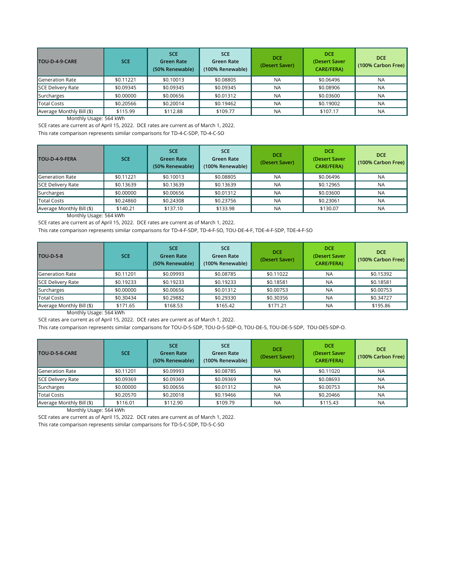SCE rates are current as of April 15, 2022. DCE rates are current as of March 1, 2022.

Monthly Usage: 564 kWh

SCE rates are current as of April 15, 2022. DCE rates are current as of March 1, 2022.

| TOU-D-4-9-CARE            | <b>SCE</b> | <b>SCE</b><br><b>Green Rate</b><br>(50% Renewable) | <b>SCE</b><br>Green Rate<br>(100% Renewable) | <b>DCE</b><br>(Desert Saver) | <b>DCE</b><br>(Desert Saver<br><b>CARE/FERA)</b> | <b>DCE</b><br>(100% Carbon Free) |
|---------------------------|------------|----------------------------------------------------|----------------------------------------------|------------------------------|--------------------------------------------------|----------------------------------|
| Generation Rate           | \$0.11221  | \$0.10013                                          | \$0.08805                                    | <b>NA</b>                    | \$0.06496                                        | <b>NA</b>                        |
| SCE Delivery Rate         | \$0.09345  | \$0.09345                                          | \$0.09345                                    | <b>NA</b>                    | \$0.08906                                        | <b>NA</b>                        |
| Surcharges                | \$0.00000  | \$0.00656                                          | \$0.01312                                    | <b>NA</b>                    | \$0.03600                                        | <b>NA</b>                        |
| Total Costs               | \$0.20566  | \$0.20014                                          | \$0.19462                                    | <b>NA</b>                    | \$0.19002                                        | <b>NA</b>                        |
| Average Monthly Bill (\$) | \$115.99   | \$112.88                                           | \$109.77                                     | <b>NA</b>                    | \$107.17                                         | <b>NA</b>                        |

Monthly Usage: 564 kWh

SCE rates are current as of April 15, 2022. DCE rates are current as of March 1, 2022.

| TOU-D-4-9-FERA            | <b>SCE</b> | <b>SCE</b><br><b>Green Rate</b><br>(50% Renewable) | <b>SCE</b><br><b>Green Rate</b><br>(100% Renewable) | <b>DCE</b><br>(Desert Saver) | <b>DCE</b><br>(Desert Saver<br><b>CARE/FERA)</b> | <b>DCE</b><br>(100% Carbon Free) |
|---------------------------|------------|----------------------------------------------------|-----------------------------------------------------|------------------------------|--------------------------------------------------|----------------------------------|
| <b>Generation Rate</b>    | \$0.11221  | \$0.10013                                          | \$0.08805                                           | <b>NA</b>                    | \$0.06496                                        | <b>NA</b>                        |
| SCE Delivery Rate         | \$0.13639  | \$0.13639                                          | \$0.13639                                           | <b>NA</b>                    | \$0.12965                                        | <b>NA</b>                        |
| Surcharges                | \$0.00000  | \$0.00656                                          | \$0.01312                                           | <b>NA</b>                    | \$0.03600                                        | <b>NA</b>                        |
| <b>Total Costs</b>        | \$0.24860  | \$0.24308                                          | \$0.23756                                           | <b>NA</b>                    | \$0.23061                                        | <b>NA</b>                        |
| Average Monthly Bill (\$) | \$140.21   | \$137.10                                           | \$133.98                                            | <b>NA</b>                    | \$130.07                                         | <b>NA</b>                        |

| <b>TOU-D-5-8</b>          | <b>SCE</b> | <b>SCE</b><br><b>Green Rate</b><br>(50% Renewable) | <b>SCE</b><br><b>Green Rate</b><br>(100% Renewable) | <b>DCE</b><br>(Desert Saver) | <b>DCE</b><br>(Desert Saver<br><b>CARE/FERA)</b> | <b>DCE</b><br>(100% Carbon Free) |
|---------------------------|------------|----------------------------------------------------|-----------------------------------------------------|------------------------------|--------------------------------------------------|----------------------------------|
| <b>I</b> Generation Rate  | \$0.11201  | \$0.09993                                          | \$0.08785                                           | \$0.11022                    | <b>NA</b>                                        | \$0.15392                        |
| <b>SCE Delivery Rate</b>  | \$0.19233  | \$0.19233                                          | \$0.19233                                           | \$0.18581                    | <b>NA</b>                                        | \$0.18581                        |
| Surcharges                | \$0.00000  | \$0.00656                                          | \$0.01312                                           | \$0.00753                    | <b>NA</b>                                        | \$0.00753                        |
| Total Costs               | \$0.30434  | \$0.29882                                          | \$0.29330                                           | \$0.30356                    | <b>NA</b>                                        | \$0.34727                        |
| Average Monthly Bill (\$) | \$171.65   | \$168.53                                           | \$165.42                                            | \$171.21                     | <b>NA</b>                                        | \$195.86                         |

Monthly Usage: 564 kWh

SCE rates are current as of April 15, 2022. DCE rates are current as of March 1, 2022.

This rate comparison represents similar comparisons for TD-4-C-SDP, TD-4-C-SO

| TOU-D-5-8-CARE            | <b>SCE</b> | <b>SCE</b><br><b>Green Rate</b><br>(50% Renewable) | <b>SCE</b><br><b>Green Rate</b><br>(100% Renewable) | <b>DCE</b><br>(Desert Saver) | <b>DCE</b><br>(Desert Saver<br><b>CARE/FERA)</b> | <b>DCE</b><br>(100% Carbon Free) |
|---------------------------|------------|----------------------------------------------------|-----------------------------------------------------|------------------------------|--------------------------------------------------|----------------------------------|
| Generation Rate           | \$0.11201  | \$0.09993                                          | \$0.08785                                           | <b>NA</b>                    | \$0.11020                                        | <b>NA</b>                        |
| <b>SCE Delivery Rate</b>  | \$0.09369  | \$0.09369                                          | \$0.09369                                           | <b>NA</b>                    | \$0.08693                                        | <b>NA</b>                        |
| Surcharges                | \$0.00000  | \$0.00656                                          | \$0.01312                                           | <b>NA</b>                    | \$0.00753                                        | <b>NA</b>                        |
| <b>Total Costs</b>        | \$0.20570  | \$0.20018                                          | \$0.19466                                           | <b>NA</b>                    | \$0.20466                                        | <b>NA</b>                        |
| Average Monthly Bill (\$) | \$116.01   | \$112.90                                           | \$109.79                                            | <b>NA</b>                    | \$115.43                                         | <b>NA</b>                        |

This rate comparison represents similar comparisons for TD-4-F-SDP, TD-4-F-SO, TOU-DE-4-F, TDE-4-F-SDP, TDE-4-F-SO

This rate comparison represents similar comparisons for TOU-D-5-SDP, TOU-D-5-SDP-O, TOU-DE-5, TOU-DE-5-SDP, TOU-DE5-SDP-O.

This rate comparison represents similar comparisons for TD-5-C-SDP, TD-5-C-SO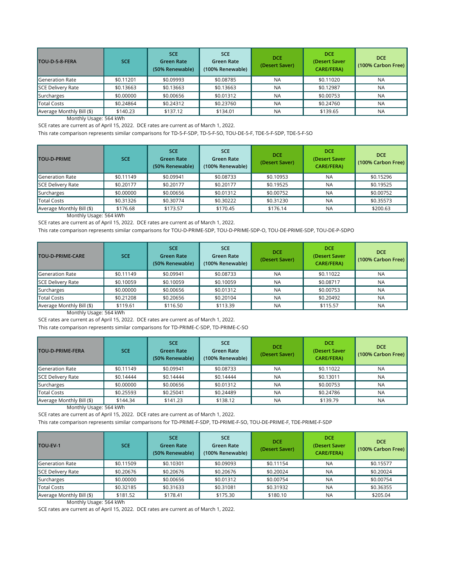SCE rates are current as of April 15, 2022. DCE rates are current as of March 1, 2022.

Monthly Usage: 564 kWh

SCE rates are current as of April 15, 2022. DCE rates are current as of March 1, 2022.

Monthly Usage: 564 kWh

SCE rates are current as of April 15, 2022. DCE rates are current as of March 1, 2022.

| TOU-D-5-8-FERA            | <b>SCE</b> | <b>SCE</b><br><b>Green Rate</b><br>(50% Renewable) | SCE.<br>Green Rate<br>(100% Renewable) | <b>DCE</b><br>(Desert Saver) | <b>DCE</b><br>(Desert Saver<br><b>CARE/FERA)</b> | <b>DCE</b><br>(100% Carbon Free) |
|---------------------------|------------|----------------------------------------------------|----------------------------------------|------------------------------|--------------------------------------------------|----------------------------------|
| Generation Rate           | \$0.11201  | \$0.09993                                          | \$0.08785                              | <b>NA</b>                    | \$0.11020                                        | <b>NA</b>                        |
| <b>SCE Delivery Rate</b>  | \$0.13663  | \$0.13663                                          | \$0.13663                              | <b>NA</b>                    | \$0.12987                                        | <b>NA</b>                        |
| Surcharges                | \$0.00000  | \$0.00656                                          | \$0.01312                              | <b>NA</b>                    | \$0.00753                                        | <b>NA</b>                        |
| <b>Total Costs</b>        | \$0.24864  | \$0.24312                                          | \$0.23760                              | <b>NA</b>                    | \$0.24760                                        | <b>NA</b>                        |
| Average Monthly Bill (\$) | \$140.23   | \$137.12                                           | \$134.01                               | <b>NA</b>                    | \$139.65                                         | <b>NA</b>                        |

Monthly Usage: 564 kWh

SCE rates are current as of April 15, 2022. DCE rates are current as of March 1, 2022.

| <b>TOU-D-PRIME</b>        | <b>SCE</b> | <b>SCE</b><br><b>Green Rate</b><br>(50% Renewable) | <b>SCE</b><br>Green Rate<br>(100% Renewable) | <b>DCE</b><br>(Desert Saver) | <b>DCE</b><br>(Desert Saver<br><b>CARE/FERA)</b> | <b>DCE</b><br>(100% Carbon Free) |
|---------------------------|------------|----------------------------------------------------|----------------------------------------------|------------------------------|--------------------------------------------------|----------------------------------|
| Generation Rate           | \$0.11149  | \$0.09941                                          | \$0.08733                                    | \$0.10953                    | <b>NA</b>                                        | \$0.15296                        |
| SCE Delivery Rate         | \$0.20177  | \$0.20177                                          | \$0.20177                                    | \$0.19525                    | <b>NA</b>                                        | \$0.19525                        |
| Surcharges                | \$0.00000  | \$0.00656                                          | \$0.01312                                    | \$0.00752                    | <b>NA</b>                                        | \$0.00752                        |
| Total Costs               | \$0.31326  | \$0.30774                                          | \$0.30222                                    | \$0.31230                    | <b>NA</b>                                        | \$0.35573                        |
| Average Monthly Bill (\$) | \$176.68   | \$173.57                                           | \$170.45                                     | \$176.14                     | <b>NA</b>                                        | \$200.63                         |

| <b>TOU-D-PRIME-FERA</b>   | <b>SCE</b> | <b>SCE</b><br><b>Green Rate</b><br>(50% Renewable) | <b>SCE</b><br>Green Rate<br>(100% Renewable) | <b>DCE</b><br>(Desert Saver) | <b>DCE</b><br>(Desert Saver<br><b>CARE/FERA)</b> | <b>DCE</b><br>(100% Carbon Free) |
|---------------------------|------------|----------------------------------------------------|----------------------------------------------|------------------------------|--------------------------------------------------|----------------------------------|
| Generation Rate           | \$0.11149  | \$0.09941                                          | \$0.08733                                    | <b>NA</b>                    | \$0.11022                                        | <b>NA</b>                        |
| SCE Delivery Rate         | \$0.14444  | \$0.14444                                          | \$0.14444                                    | <b>NA</b>                    | \$0.13011                                        | <b>NA</b>                        |
| Surcharges                | \$0.00000  | \$0.00656                                          | \$0.01312                                    | <b>NA</b>                    | \$0.00753                                        | <b>NA</b>                        |
| Total Costs               | \$0.25593  | \$0.25041                                          | \$0.24489                                    | <b>NA</b>                    | \$0.24786                                        | <b>NA</b>                        |
| Average Monthly Bill (\$) | \$144.34   | \$141.23                                           | \$138.12                                     | <b>NA</b>                    | \$139.79                                         | <b>NA</b>                        |

Monthly Usage: 564 kWh

SCE rates are current as of April 15, 2022. DCE rates are current as of March 1, 2022.

| <b>TOU-D-PRIME-CARE</b>   | <b>SCE</b> | <b>SCE</b><br><b>Green Rate</b><br>(50% Renewable) | <b>SCE</b><br><b>Green Rate</b><br>(100% Renewable) | <b>DCE</b><br>(Desert Saver) | <b>DCE</b><br>(Desert Saver<br><b>CARE/FERA)</b> | <b>DCE</b><br>(100% Carbon Free) |
|---------------------------|------------|----------------------------------------------------|-----------------------------------------------------|------------------------------|--------------------------------------------------|----------------------------------|
| <b>Generation Rate</b>    | \$0.11149  | \$0.09941                                          | \$0.08733                                           | <b>NA</b>                    | \$0.11022                                        | <b>NA</b>                        |
| <b>SCE Delivery Rate</b>  | \$0.10059  | \$0.10059                                          | \$0.10059                                           | <b>NA</b>                    | \$0.08717                                        | NA                               |
| Surcharges                | \$0.00000  | \$0.00656                                          | \$0.01312                                           | <b>NA</b>                    | \$0.00753                                        | <b>NA</b>                        |
| <b>Total Costs</b>        | \$0.21208  | \$0.20656                                          | \$0.20104                                           | <b>NA</b>                    | \$0.20492                                        | <b>NA</b>                        |
| Average Monthly Bill (\$) | \$119.61   | \$116.50                                           | \$113.39                                            | <b>NA</b>                    | \$115.57                                         | <b>NA</b>                        |

This rate comparison represents similar comparisons for TD-PRIME-F-SDP, TD-PRIME-F-SO, TOU-DE-PRIME-F, TDE-PRIME-F-SDP

| <b>TOU-EV-1</b>           | <b>SCE</b> | <b>SCE</b><br><b>Green Rate</b><br>(50% Renewable) | <b>SCE</b><br><b>Green Rate</b><br>(100% Renewable) | <b>DCE</b><br>(Desert Saver) | <b>DCE</b><br>(Desert Saver<br><b>CARE/FERA)</b> | <b>DCE</b><br>(100% Carbon Free) |
|---------------------------|------------|----------------------------------------------------|-----------------------------------------------------|------------------------------|--------------------------------------------------|----------------------------------|
| <b>Generation Rate</b>    | \$0.11509  | \$0.10301                                          | \$0.09093                                           | \$0.11154                    | <b>NA</b>                                        | \$0.15577                        |
| SCE Delivery Rate         | \$0.20676  | \$0.20676                                          | \$0.20676                                           | \$0.20024                    | <b>NA</b>                                        | \$0.20024                        |
| Surcharges                | \$0.00000  | \$0.00656                                          | \$0.01312                                           | \$0.00754                    | <b>NA</b>                                        | \$0.00754                        |
| <b>Total Costs</b>        | \$0.32185  | \$0.31633                                          | \$0.31081                                           | \$0.31932                    | <b>NA</b>                                        | \$0.36355                        |
| Average Monthly Bill (\$) | \$181.52   | \$178.41                                           | \$175.30                                            | \$180.10                     | <b>NA</b>                                        | \$205.04                         |

This rate comparison represents similar comparisons for TD-PRIME-C-SDP, TD-PRIME-C-SO

This rate comparison represents similar comparisons for TD-5-F-SDP, TD-5-F-SO, TOU-DE-5-F, TDE-5-F-SDP, TDE-5-F-SO

This rate comparison represents similar comparisons for TOU-D-PRIME-SDP, TOU-D-PRIME-SDP-O, TOU-DE-PRIME-SDP, TOU-DE-P-SDPO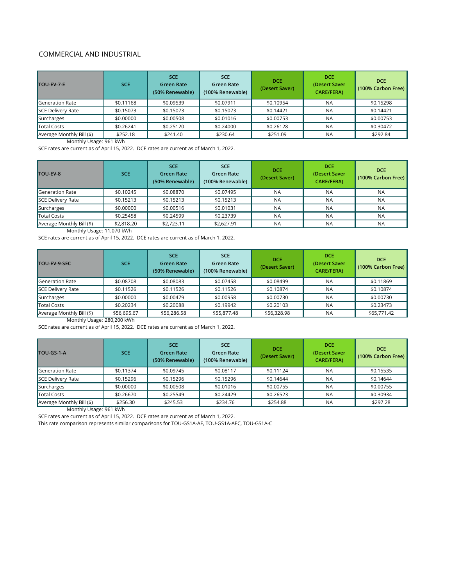#### COMMERCIAL AND INDUSTRIAL

Monthly Usage: 961 kWh

SCE rates are current as of April 15, 2022. DCE rates are current as of March 1, 2022.

Monthly Usage: 11,070 kWh

SCE rates are current as of April 15, 2022. DCE rates are current as of March 1, 2022.

Monthly Usage: 280,200 kWh

SCE rates are current as of April 15, 2022. DCE rates are current as of March 1, 2022.

| <b>TOU-EV-7-E</b>         | <b>SCE</b> | <b>SCE</b><br><b>Green Rate</b><br>(50% Renewable) | <b>SCE</b><br>Green Rate<br>(100% Renewable) | <b>DCE</b><br>(Desert Saver) | <b>DCE</b><br>(Desert Saver<br><b>CARE/FERA)</b> | <b>DCE</b><br>(100% Carbon Free) |
|---------------------------|------------|----------------------------------------------------|----------------------------------------------|------------------------------|--------------------------------------------------|----------------------------------|
| Generation Rate           | \$0.11168  | \$0.09539                                          | \$0.07911                                    | \$0.10954                    | <b>NA</b>                                        | \$0.15298                        |
| SCE Delivery Rate         | \$0.15073  | \$0.15073                                          | \$0.15073                                    | \$0.14421                    | <b>NA</b>                                        | \$0.14421                        |
| Surcharges                | \$0.00000  | \$0.00508                                          | \$0.01016                                    | \$0.00753                    | <b>NA</b>                                        | \$0.00753                        |
| Total Costs               | \$0.26241  | \$0.25120                                          | \$0.24000                                    | \$0.26128                    | <b>NA</b>                                        | \$0.30472                        |
| Average Monthly Bill (\$) | \$252.18   | \$241.40                                           | \$230.64                                     | \$251.09                     | <b>NA</b>                                        | \$292.84                         |

| <b>TOU-EV-8</b>           | <b>SCE</b> | <b>SCE</b><br><b>Green Rate</b><br>(50% Renewable) | <b>SCE</b><br><b>Green Rate</b><br>(100% Renewable) | <b>DCE</b><br>(Desert Saver) | <b>DCE</b><br>(Desert Saver<br><b>CARE/FERA)</b> | <b>DCE</b><br>(100% Carbon Free) |
|---------------------------|------------|----------------------------------------------------|-----------------------------------------------------|------------------------------|--------------------------------------------------|----------------------------------|
| Generation Rate           | \$0.10245  | \$0.08870                                          | \$0.07495                                           | <b>NA</b>                    | <b>NA</b>                                        | <b>NA</b>                        |
| SCE Delivery Rate         | \$0.15213  | \$0.15213                                          | \$0.15213                                           | <b>NA</b>                    | <b>NA</b>                                        | <b>NA</b>                        |
| Surcharges                | \$0.00000  | \$0.00516                                          | \$0.01031                                           | <b>NA</b>                    | <b>NA</b>                                        | <b>NA</b>                        |
| Total Costs               | \$0.25458  | \$0.24599                                          | \$0.23739                                           | <b>NA</b>                    | <b>NA</b>                                        | <b>NA</b>                        |
| Average Monthly Bill (\$) | \$2,818.20 | \$2,723.11                                         | \$2,627.91                                          | <b>NA</b>                    | <b>NA</b>                                        | <b>NA</b>                        |

| TOU-EV-9-SEC              | <b>SCE</b>  | <b>SCE</b><br><b>Green Rate</b><br>(50% Renewable) | <b>SCE</b><br><b>Green Rate</b><br>(100% Renewable) | <b>DCE</b><br>(Desert Saver) | <b>DCE</b><br>(Desert Saver<br><b>CARE/FERA)</b> | <b>DCE</b><br>(100% Carbon Free) |
|---------------------------|-------------|----------------------------------------------------|-----------------------------------------------------|------------------------------|--------------------------------------------------|----------------------------------|
| <b>Generation Rate</b>    | \$0.08708   | \$0.08083                                          | \$0.07458                                           | \$0.08499                    | <b>NA</b>                                        | \$0.11869                        |
| SCE Delivery Rate         | \$0.11526   | \$0.11526                                          | \$0.11526                                           | \$0.10874                    | <b>NA</b>                                        | \$0.10874                        |
| Surcharges                | \$0.00000   | \$0.00479                                          | \$0.00958                                           | \$0.00730                    | <b>NA</b>                                        | \$0.00730                        |
| Total Costs               | \$0.20234   | \$0.20088                                          | \$0.19942                                           | \$0.20103                    | <b>NA</b>                                        | \$0.23473                        |
| Average Monthly Bill (\$) | \$56,695.67 | \$56,286.58                                        | \$55,877.48                                         | \$56,328.98                  | <b>NA</b>                                        | \$65,771.42                      |

Monthly Usage: 961 kWh

SCE rates are current as of April 15, 2022. DCE rates are current as of March 1, 2022.

This rate comparison represents similar comparisons for TOU-GS1A-AE, TOU-GS1A-AEC, TOU-GS1A-C

| TOU-GS-1-A                     | <b>SCE</b> | <b>SCE</b><br><b>Green Rate</b><br>(50% Renewable) | <b>SCE</b><br><b>Green Rate</b><br>(100% Renewable) | <b>DCE</b><br>(Desert Saver) | <b>DCE</b><br>(Desert Saver<br><b>CARE/FERA)</b> | <b>DCE</b><br>(100% Carbon Free) |
|--------------------------------|------------|----------------------------------------------------|-----------------------------------------------------|------------------------------|--------------------------------------------------|----------------------------------|
| Generation Rate                | \$0.11374  | \$0.09745                                          | \$0.08117                                           | \$0.11124                    | <b>NA</b>                                        | \$0.15535                        |
| SCE Delivery Rate              | \$0.15296  | \$0.15296                                          | \$0.15296                                           | \$0.14644                    | <b>NA</b>                                        | \$0.14644                        |
| Surcharges                     | \$0.00000  | \$0.00508                                          | \$0.01016                                           | \$0.00755                    | <b>NA</b>                                        | \$0.00755                        |
| Total Costs                    | \$0.26670  | \$0.25549                                          | \$0.24429                                           | \$0.26523                    | <b>NA</b>                                        | \$0.30934                        |
| Average Monthly Bill (\$)<br>. | \$256.30   | \$245.53                                           | \$234.76                                            | \$254.88                     | <b>NA</b>                                        | \$297.28                         |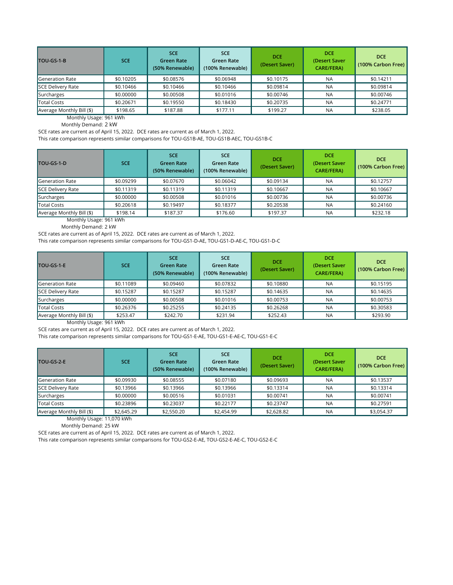Monthly Demand: 2 kW

SCE rates are current as of April 15, 2022. DCE rates are current as of March 1, 2022.

This rate comparison represents similar comparisons for TOU-GS1B-AE, TOU-GS1B-AEC, TOU-GS1B-C

Monthly Usage: 961 kWh

Monthly Demand: 2 kW

SCE rates are current as of April 15, 2022. DCE rates are current as of March 1, 2022.

This rate comparison represents similar comparisons for TOU-GS1-D-AE, TOU-GS1-D-AE-C, TOU-GS1-D-C

| TOU-GS-1-B                | <b>SCE</b> | <b>SCE</b><br><b>Green Rate</b><br>(50% Renewable) | <b>SCE</b><br><b>Green Rate</b><br>(100% Renewable) | <b>DCE</b><br>(Desert Saver) | <b>DCE</b><br>(Desert Saver<br><b>CARE/FERA)</b> | <b>DCE</b><br>(100% Carbon Free) |
|---------------------------|------------|----------------------------------------------------|-----------------------------------------------------|------------------------------|--------------------------------------------------|----------------------------------|
| <b>Generation Rate</b>    | \$0.10205  | \$0.08576                                          | \$0.06948                                           | \$0.10175                    | <b>NA</b>                                        | \$0.14211                        |
| SCE Delivery Rate         | \$0.10466  | \$0.10466                                          | \$0.10466                                           | \$0.09814                    | <b>NA</b>                                        | \$0.09814                        |
| Surcharges                | \$0.00000  | \$0.00508                                          | \$0.01016                                           | \$0.00746                    | <b>NA</b>                                        | \$0.00746                        |
| Total Costs               | \$0.20671  | \$0.19550                                          | \$0.18430                                           | \$0.20735                    | <b>NA</b>                                        | \$0.24771                        |
| Average Monthly Bill (\$) | \$198.65   | \$187.88                                           | \$177.11                                            | \$199.27                     | <b>NA</b>                                        | \$238.05                         |

Monthly Usage: 961 kWh

SCE rates are current as of April 15, 2022. DCE rates are current as of March 1, 2022.

This rate comparison represents similar comparisons for TOU-GS1-E-AE, TOU-GS1-E-AE-C, TOU-GS1-E-C

| <b>TOU-GS-1-D</b>         | SCE.      | <b>SCE</b><br><b>Green Rate</b><br>(50% Renewable) | <b>SCE</b><br><b>Green Rate</b><br>(100% Renewable) | <b>DCE</b><br>(Desert Saver) | <b>DCE</b><br>(Desert Saver<br><b>CARE/FERA)</b> | <b>DCE</b><br>(100% Carbon Free) |
|---------------------------|-----------|----------------------------------------------------|-----------------------------------------------------|------------------------------|--------------------------------------------------|----------------------------------|
| Generation Rate           | \$0.09299 | \$0.07670                                          | \$0.06042                                           | \$0.09134                    | <b>NA</b>                                        | \$0.12757                        |
| <b>SCE Delivery Rate</b>  | \$0.11319 | \$0.11319                                          | \$0.11319                                           | \$0.10667                    | <b>NA</b>                                        | \$0.10667                        |
| Surcharges                | \$0.00000 | \$0.00508                                          | \$0.01016                                           | \$0.00736                    | <b>NA</b>                                        | \$0.00736                        |
| <b>Total Costs</b>        | \$0.20618 | \$0.19497                                          | \$0.18377                                           | \$0.20538                    | <b>NA</b>                                        | \$0.24160                        |
| Average Monthly Bill (\$) | \$198.14  | \$187.37                                           | \$176.60                                            | \$197.37                     | <b>NA</b>                                        | \$232.18                         |

| TOU-GS-1-E                | <b>SCE</b> | <b>SCE</b><br><b>Green Rate</b><br>(50% Renewable) | <b>SCE</b><br>Green Rate<br>(100% Renewable) | <b>DCE</b><br>(Desert Saver) | <b>DCE</b><br>(Desert Saver<br><b>CARE/FERA)</b> | <b>DCE</b><br>(100% Carbon Free) |
|---------------------------|------------|----------------------------------------------------|----------------------------------------------|------------------------------|--------------------------------------------------|----------------------------------|
| Generation Rate           | \$0.11089  | \$0.09460                                          | \$0.07832                                    | \$0.10880                    | <b>NA</b>                                        | \$0.15195                        |
| SCE Delivery Rate         | \$0.15287  | \$0.15287                                          | \$0.15287                                    | \$0.14635                    | <b>NA</b>                                        | \$0.14635                        |
| Surcharges                | \$0.00000  | \$0.00508                                          | \$0.01016                                    | \$0.00753                    | <b>NA</b>                                        | \$0.00753                        |
| Total Costs               | \$0.26376  | \$0.25255                                          | \$0.24135                                    | \$0.26268                    | <b>NA</b>                                        | \$0.30583                        |
| Average Monthly Bill (\$) | \$253.47   | \$242.70                                           | \$231.94                                     | \$252.43                     | <b>NA</b>                                        | \$293.90                         |

Monthly Usage: 11,070 kWh

Monthly Demand: 25 kW

SCE rates are current as of April 15, 2022. DCE rates are current as of March 1, 2022.

This rate comparison represents similar comparisons for TOU‐GS2-E‐AE, TOU‐GS2-E‐AE-C, TOU-GS2-E‐C

| TOU-GS-2-E                | <b>SCE</b> | <b>SCE</b><br><b>Green Rate</b><br>(50% Renewable) | <b>SCE</b><br><b>Green Rate</b><br>(100% Renewable) | <b>DCE</b><br>(Desert Saver) | <b>DCE</b><br>(Desert Saver<br><b>CARE/FERA)</b> | <b>DCE</b><br>(100% Carbon Free) |
|---------------------------|------------|----------------------------------------------------|-----------------------------------------------------|------------------------------|--------------------------------------------------|----------------------------------|
| <b>Generation Rate</b>    | \$0.09930  | \$0.08555                                          | \$0.07180                                           | \$0.09693                    | <b>NA</b>                                        | \$0.13537                        |
| <b>SCE Delivery Rate</b>  | \$0.13966  | \$0.13966                                          | \$0.13966                                           | \$0.13314                    | <b>NA</b>                                        | \$0.13314                        |
| Surcharges                | \$0.00000  | \$0.00516                                          | \$0.01031                                           | \$0.00741                    | <b>NA</b>                                        | \$0.00741                        |
| Total Costs               | \$0.23896  | \$0.23037                                          | \$0.22177                                           | \$0.23747                    | <b>NA</b>                                        | \$0.27591                        |
| Average Monthly Bill (\$) | \$2,645.29 | \$2,550.20                                         | \$2,454.99                                          | \$2,628.82                   | <b>NA</b>                                        | \$3,054.37                       |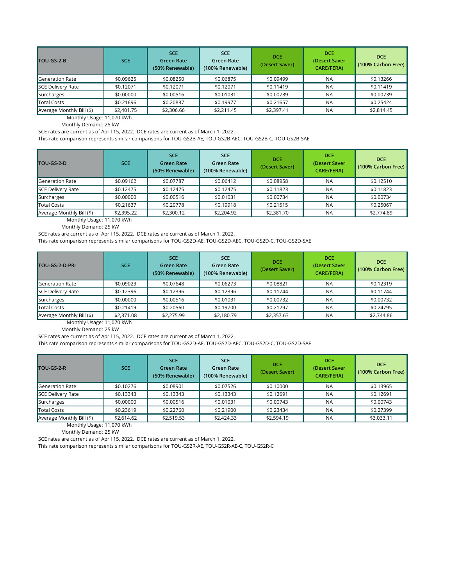Monthly Usage: 11,070 kWh

Monthly Demand: 25 kW

SCE rates are current as of April 15, 2022. DCE rates are current as of March 1, 2022.

This rate comparison represents similar comparisons for TOU-GS2B-AE, TOU-GS2B-AEC, TOU-GS2B-C, TOU-GS2B-SAE

Monthly Usage: 11,070 kWh

Monthly Demand: 25 kW

SCE rates are current as of April 15, 2022. DCE rates are current as of March 1, 2022.

This rate comparison represents similar comparisons for TOU-GS2D-AE, TOU-GS2D-AEC, TOU-GS2D-C, TOU-GS2D-SAE

| TOU-GS-2-B                | <b>SCE</b> | <b>SCE</b><br><b>Green Rate</b><br>(50% Renewable) | <b>SCE</b><br>Green Rate<br>(100% Renewable) | <b>DCE</b><br>(Desert Saver) | <b>DCE</b><br>(Desert Saver<br><b>CARE/FERA)</b> | <b>DCE</b><br>(100% Carbon Free) |
|---------------------------|------------|----------------------------------------------------|----------------------------------------------|------------------------------|--------------------------------------------------|----------------------------------|
| Generation Rate           | \$0.09625  | \$0.08250                                          | \$0.06875                                    | \$0.09499                    | <b>NA</b>                                        | \$0.13266                        |
| SCE Delivery Rate         | \$0.12071  | \$0.12071                                          | \$0.12071                                    | \$0.11419                    | <b>NA</b>                                        | \$0.11419                        |
| Surcharges                | \$0.00000  | \$0.00516                                          | \$0.01031                                    | \$0.00739                    | <b>NA</b>                                        | \$0.00739                        |
| Total Costs               | \$0.21696  | \$0.20837                                          | \$0.19977                                    | \$0.21657                    | <b>NA</b>                                        | \$0.25424                        |
| Average Monthly Bill (\$) | \$2,401.75 | \$2,306.66                                         | \$2,211.45                                   | \$2,397.41                   | <b>NA</b>                                        | \$2,814.45                       |

Monthly Usage: 11,070 kWh

| TOU-GS-2-D                | <b>SCE</b> | <b>SCE</b><br><b>Green Rate</b><br>(50% Renewable) | <b>SCE</b><br><b>Green Rate</b><br>(100% Renewable) | <b>DCE</b><br>(Desert Saver) | <b>DCE</b><br>(Desert Saver<br><b>CARE/FERA)</b> | <b>DCE</b><br>(100% Carbon Free) |
|---------------------------|------------|----------------------------------------------------|-----------------------------------------------------|------------------------------|--------------------------------------------------|----------------------------------|
| Generation Rate           | \$0.09162  | \$0.07787                                          | \$0.06412                                           | \$0.08958                    | <b>NA</b>                                        | \$0.12510                        |
| <b>SCE Delivery Rate</b>  | \$0.12475  | \$0.12475                                          | \$0.12475                                           | \$0.11823                    | <b>NA</b>                                        | \$0.11823                        |
| Surcharges                | \$0.00000  | \$0.00516                                          | \$0.01031                                           | \$0.00734                    | <b>NA</b>                                        | \$0.00734                        |
| <b>Total Costs</b>        | \$0.21637  | \$0.20778                                          | \$0.19918                                           | \$0.21515                    | <b>NA</b>                                        | \$0.25067                        |
| Average Monthly Bill (\$) | \$2,395.22 | \$2,300.12                                         | \$2,204.92                                          | \$2,381.70                   | NA                                               | \$2,774.89                       |

Monthly Demand: 25 kW

SCE rates are current as of April 15, 2022. DCE rates are current as of March 1, 2022.

This rate comparison represents similar comparisons for TOU-GS2D-AE, TOU-GS2D-AEC, TOU-GS2D-C, TOU-GS2D-SAE

| <b>TOU-GS-2-D-PRI</b>     | <b>SCE</b> | <b>SCE</b><br><b>Green Rate</b><br>(50% Renewable) | <b>SCE</b><br>Green Rate<br>(100% Renewable) | <b>DCE</b><br>(Desert Saver) | <b>DCE</b><br>(Desert Saver<br><b>CARE/FERA)</b> | <b>DCE</b><br>(100% Carbon Free) |
|---------------------------|------------|----------------------------------------------------|----------------------------------------------|------------------------------|--------------------------------------------------|----------------------------------|
| <b>Generation Rate</b>    | \$0.09023  | \$0.07648                                          | \$0.06273                                    | \$0.08821                    | <b>NA</b>                                        | \$0.12319                        |
| <b>SCE Delivery Rate</b>  | \$0.12396  | \$0.12396                                          | \$0.12396                                    | \$0.11744                    | <b>NA</b>                                        | \$0.11744                        |
| Surcharges                | \$0.00000  | \$0.00516                                          | \$0.01031                                    | \$0.00732                    | <b>NA</b>                                        | \$0.00732                        |
| <b>Total Costs</b>        | \$0.21419  | \$0.20560                                          | \$0.19700                                    | \$0.21297                    | <b>NA</b>                                        | \$0.24795                        |
| Average Monthly Bill (\$) | \$2,371.08 | \$2,275.99                                         | \$2,180.79                                   | \$2,357.63                   | <b>NA</b>                                        | \$2,744.86                       |

Monthly Usage: 11,070 kWh

Monthly Demand: 25 kW

SCE rates are current as of April 15, 2022. DCE rates are current as of March 1, 2022.

| TOU-GS-2-R                | <b>SCE</b> | <b>SCE</b><br><b>Green Rate</b><br>(50% Renewable) | <b>SCE</b><br>Green Rate<br>(100% Renewable) | <b>DCE</b><br>(Desert Saver) | <b>DCE</b><br>(Desert Saver<br><b>CARE/FERA)</b> | <b>DCE</b><br>(100% Carbon Free) |
|---------------------------|------------|----------------------------------------------------|----------------------------------------------|------------------------------|--------------------------------------------------|----------------------------------|
| Generation Rate           | \$0.10276  | \$0.08901                                          | \$0.07526                                    | \$0.10000                    | <b>NA</b>                                        | \$0.13965                        |
| SCE Delivery Rate         | \$0.13343  | \$0.13343                                          | \$0.13343                                    | \$0.12691                    | <b>NA</b>                                        | \$0.12691                        |
| Surcharges                | \$0.00000  | \$0.00516                                          | \$0.01031                                    | \$0.00743                    | <b>NA</b>                                        | \$0.00743                        |
| Total Costs               | \$0.23619  | \$0.22760                                          | \$0,21900                                    | \$0.23434                    | <b>NA</b>                                        | \$0.27399                        |
| Average Monthly Bill (\$) | \$2,614.62 | \$2,519.53                                         | \$2,424.33                                   | \$2,594.19                   | <b>NA</b>                                        | \$3,033.11                       |

This rate comparison represents similar comparisons for TOU-GS2R-AE, TOU-GS2R-AE-C, TOU-GS2R-C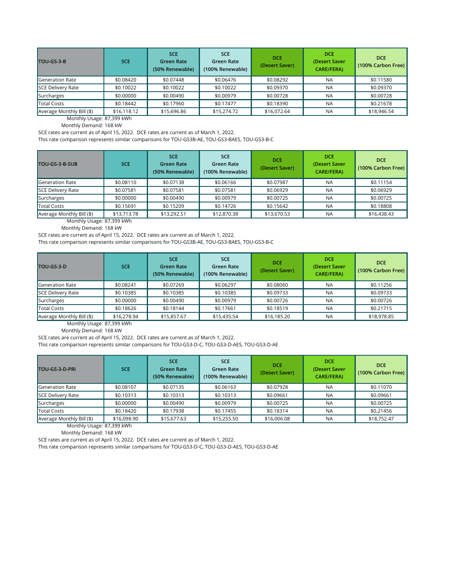Monthly Usage: 87,399 kWh

Monthly Demand: 168 kW

SCE rates are current as of April 15, 2022. DCE rates are current as of March 1, 2022.

This rate comparison represents similar comparisons for TOU-GS3B-AE, TOU-GS3-BAES, TOU-GS3-B-C

Monthly Usage: 87,399 kWh

Monthly Demand: 168 kW

SCE rates are current as of April 15, 2022. DCE rates are current as of March 1, 2022.

This rate comparison represents similar comparisons for TOU-GS3B-AE, TOU-GS3-BAES, TOU-GS3-B-C

| TOU-GS-3-B                | <b>SCE</b>  | <b>SCE</b><br><b>Green Rate</b><br>(50% Renewable) | <b>SCE</b><br><b>Green Rate</b><br>(100% Renewable) | <b>DCE</b><br>(Desert Saver) | <b>DCE</b><br>(Desert Saver<br><b>CARE/FERA)</b> | <b>DCE</b><br>(100% Carbon Free) |
|---------------------------|-------------|----------------------------------------------------|-----------------------------------------------------|------------------------------|--------------------------------------------------|----------------------------------|
| Generation Rate           | \$0.08420   | \$0.07448                                          | \$0.06476                                           | \$0.08292                    | <b>NA</b>                                        | \$0.11580                        |
| <b>SCE Delivery Rate</b>  | \$0.10022   | \$0.10022                                          | \$0.10022                                           | \$0.09370                    | <b>NA</b>                                        | \$0.09370                        |
| Surcharges                | \$0.00000   | \$0.00490                                          | \$0.00979                                           | \$0.00728                    | <b>NA</b>                                        | \$0.00728                        |
| Total Costs               | \$0.18442   | \$0.17960                                          | \$0.17477                                           | \$0.18390                    | <b>NA</b>                                        | \$0.21678                        |
| Average Monthly Bill (\$) | \$16,118.12 | \$15,696.86                                        | \$15,274.72                                         | \$16,072.64                  | <b>NA</b>                                        | \$18,946.54                      |

Monthly Usage: 87,399 kWh

Monthly Demand: 168 kW

SCE rates are current as of April 15, 2022. DCE rates are current as of March 1, 2022.

| TOU-GS-3-B-SUB            | <b>SCE</b>  | <b>SCE</b><br><b>Green Rate</b><br>(50% Renewable) | <b>SCE</b><br><b>Green Rate</b><br>(100% Renewable) | <b>DCE</b><br>(Desert Saver) | <b>DCE</b><br>(Desert Saver<br><b>CARE/FERA)</b> | <b>DCE</b><br>(100% Carbon Free) |
|---------------------------|-------------|----------------------------------------------------|-----------------------------------------------------|------------------------------|--------------------------------------------------|----------------------------------|
| Generation Rate           | \$0.08110   | \$0.07138                                          | \$0.06166                                           | \$0.07987                    | <b>NA</b>                                        | \$0.11154                        |
| SCE Delivery Rate         | \$0.07581   | \$0.07581                                          | \$0.07581                                           | \$0.06929                    | <b>NA</b>                                        | \$0.06929                        |
| Surcharges                | \$0.00000   | \$0.00490                                          | \$0.00979                                           | \$0.00725                    | <b>NA</b>                                        | \$0.00725                        |
| Total Costs               | \$0.15691   | \$0.15209                                          | \$0.14726                                           | \$0.15642                    | <b>NA</b>                                        | \$0.18808                        |
| Average Monthly Bill (\$) | \$13,713.78 | \$13,292.51                                        | \$12,870.38                                         | \$13,670.53                  | <b>NA</b>                                        | \$16,438.43                      |

This rate comparison represents similar comparisons for TOU‐GS3‐D‐C, TOU‐GS3‐D-AES, TOU-GS3-D‐AE

| TOU-GS-3-D                               | <b>SCE</b>  | <b>SCE</b><br><b>Green Rate</b><br>(50% Renewable) | <b>SCE</b><br>Green Rate<br>(100% Renewable) | <b>DCE</b><br>(Desert Saver) | <b>DCE</b><br>(Desert Saver<br><b>CARE/FERA)</b> | <b>DCE</b><br>(100% Carbon Free) |
|------------------------------------------|-------------|----------------------------------------------------|----------------------------------------------|------------------------------|--------------------------------------------------|----------------------------------|
| Generation Rate                          | \$0.08241   | \$0.07269                                          | \$0.06297                                    | \$0.08060                    | <b>NA</b>                                        | \$0.11256                        |
| SCE Delivery Rate                        | \$0.10385   | \$0.10385                                          | \$0.10385                                    | \$0.09733                    | <b>NA</b>                                        | \$0.09733                        |
| Surcharges                               | \$0.00000   | \$0.00490                                          | \$0.00979                                    | \$0.00726                    | <b>NA</b>                                        | \$0.00726                        |
| Total Costs                              | \$0.18626   | \$0.18144                                          | \$0.17661                                    | \$0.18519                    | <b>NA</b>                                        | \$0.21715                        |
| $\blacksquare$ Average Monthly Bill (\$) | \$16,278.94 | \$15,857.67                                        | \$15,435.54                                  | \$16,185.20                  | <b>NA</b>                                        | \$18,978.85                      |

Monthly Usage: 87,399 kWh

Monthly Demand: 168 kW

SCE rates are current as of April 15, 2022. DCE rates are current as of March 1, 2022.

This rate comparison represents similar comparisons for TOU‐GS3‐D‐C, TOU‐GS3‐D-AES, TOU-GS3-D‐AE

| <b>TOU-GS-3-D-PRI</b>     | <b>SCE</b>  | <b>SCE</b><br><b>Green Rate</b><br>(50% Renewable) | <b>SCE</b><br><b>Green Rate</b><br>(100% Renewable) | <b>DCE</b><br>(Desert Saver) | <b>DCE</b><br>(Desert Saver<br><b>CARE/FERA)</b> | <b>DCE</b><br>(100% Carbon Free) |
|---------------------------|-------------|----------------------------------------------------|-----------------------------------------------------|------------------------------|--------------------------------------------------|----------------------------------|
| <b>Generation Rate</b>    | \$0.08107   | \$0.07135                                          | \$0.06163                                           | \$0.07928                    | <b>NA</b>                                        | \$0.11070                        |
| <b>SCE Delivery Rate</b>  | \$0.10313   | \$0.10313                                          | \$0.10313                                           | \$0.09661                    | <b>NA</b>                                        | \$0.09661                        |
| Surcharges                | \$0.00000   | \$0.00490                                          | \$0.00979                                           | \$0.00725                    | <b>NA</b>                                        | \$0.00725                        |
| <b>Total Costs</b>        | \$0.18420   | \$0.17938                                          | \$0.17455                                           | \$0.18314                    | <b>NA</b>                                        | \$0.21456                        |
| Average Monthly Bill (\$) | \$16,098.90 | \$15,677.63                                        | \$15,255.50                                         | \$16,006.08                  | <b>NA</b>                                        | \$18,752.47                      |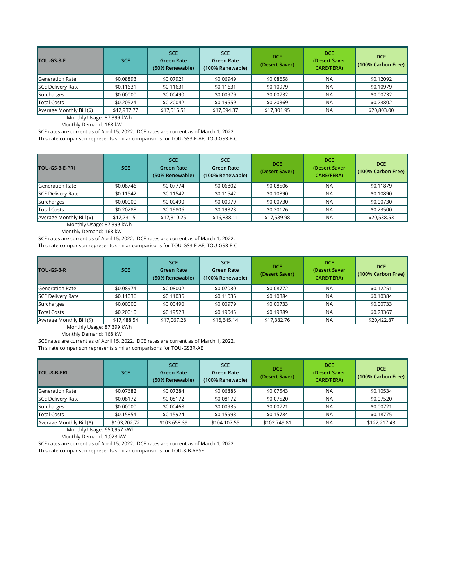Monthly Usage: 87,399 kWh

Monthly Demand: 168 kW

SCE rates are current as of April 15, 2022. DCE rates are current as of March 1, 2022. This rate comparison represents similar comparisons for TOU-GS3-E-AE, TOU-GS3-E-C

Monthly Usage: 87,399 kWh

Monthly Demand: 168 kW

SCE rates are current as of April 15, 2022. DCE rates are current as of March 1, 2022.

This rate comparison represents similar comparisons for TOU-GS3-E-AE, TOU-GS3-E-C

| TOU-GS-3-E                | <b>SCE</b>  | <b>SCE</b><br><b>Green Rate</b><br>(50% Renewable) | <b>SCE</b><br><b>Green Rate</b><br>(100% Renewable) | <b>DCE</b><br>(Desert Saver) | <b>DCE</b><br>(Desert Saver<br><b>CARE/FERA)</b> | <b>DCE</b><br>(100% Carbon Free) |
|---------------------------|-------------|----------------------------------------------------|-----------------------------------------------------|------------------------------|--------------------------------------------------|----------------------------------|
| Generation Rate           | \$0.08893   | \$0.07921                                          | \$0.06949                                           | \$0.08658                    | <b>NA</b>                                        | \$0.12092                        |
| SCE Delivery Rate         | \$0.11631   | \$0.11631                                          | \$0.11631                                           | \$0.10979                    | <b>NA</b>                                        | \$0.10979                        |
| Surcharges                | \$0.00000   | \$0.00490                                          | \$0.00979                                           | \$0.00732                    | <b>NA</b>                                        | \$0.00732                        |
| Total Costs               | \$0.20524   | \$0.20042                                          | \$0.19559                                           | \$0.20369                    | <b>NA</b>                                        | \$0.23802                        |
| Average Monthly Bill (\$) | \$17,937.77 | \$17,516.51                                        | \$17,094.37                                         | \$17,801.95                  | <b>NA</b>                                        | \$20,803.00                      |

Monthly Usage: 87,399 kWh

Monthly Demand: 168 kW

SCE rates are current as of April 15, 2022. DCE rates are current as of March 1, 2022. This rate comparison represents similar comparisons for TOU-GS3R-AE

| TOU-GS-3-E-PRI                           | <b>SCE</b>  | <b>SCE</b><br><b>Green Rate</b><br>(50% Renewable) | <b>SCE</b><br><b>Green Rate</b><br>(100% Renewable) | <b>DCE</b><br>(Desert Saver) | <b>DCE</b><br>(Desert Saver<br><b>CARE/FERA)</b> | <b>DCE</b><br>(100% Carbon Free) |
|------------------------------------------|-------------|----------------------------------------------------|-----------------------------------------------------|------------------------------|--------------------------------------------------|----------------------------------|
| Generation Rate                          | \$0.08746   | \$0.07774                                          | \$0.06802                                           | \$0.08506                    | <b>NA</b>                                        | \$0.11879                        |
| SCE Delivery Rate                        | \$0.11542   | \$0.11542                                          | \$0.11542                                           | \$0.10890                    | <b>NA</b>                                        | \$0.10890                        |
| Surcharges                               | \$0.00000   | \$0.00490                                          | \$0.00979                                           | \$0.00730                    | <b>NA</b>                                        | \$0.00730                        |
| Total Costs                              | \$0.20288   | \$0.19806                                          | \$0.19323                                           | \$0.20126                    | <b>NA</b>                                        | \$0.23500                        |
| $\blacksquare$ Average Monthly Bill (\$) | \$17,731.51 | \$17,310.25                                        | \$16,888.11                                         | \$17,589.98                  | <b>NA</b>                                        | \$20,538.53                      |

| TOU-GS-3-R                | <b>SCE</b>  | <b>SCE</b><br><b>Green Rate</b><br>(50% Renewable) | <b>SCE</b><br><b>Green Rate</b><br>(100% Renewable) | <b>DCE</b><br>(Desert Saver) | <b>DCE</b><br>(Desert Saver<br><b>CARE/FERA)</b> | <b>DCE</b><br>(100% Carbon Free) |
|---------------------------|-------------|----------------------------------------------------|-----------------------------------------------------|------------------------------|--------------------------------------------------|----------------------------------|
| Generation Rate           | \$0.08974   | \$0.08002                                          | \$0.07030                                           | \$0.08772                    | <b>NA</b>                                        | \$0.12251                        |
| SCE Delivery Rate         | \$0.11036   | \$0.11036                                          | \$0.11036                                           | \$0.10384                    | <b>NA</b>                                        | \$0.10384                        |
| Surcharges                | \$0.00000   | \$0.00490                                          | \$0.00979                                           | \$0.00733                    | <b>NA</b>                                        | \$0.00733                        |
| Total Costs               | \$0.20010   | \$0.19528                                          | \$0.19045                                           | \$0.19889                    | <b>NA</b>                                        | \$0.23367                        |
| Average Monthly Bill (\$) | \$17,488.54 | \$17,067.28                                        | \$16,645.14                                         | \$17,382.76                  | <b>NA</b>                                        | \$20,422.87                      |

Monthly Usage: 650,957 kWh

Monthly Demand: 1,023 kW

SCE rates are current as of April 15, 2022. DCE rates are current as of March 1, 2022.

| TOU-8-B-PRI               | <b>SCE</b>   | <b>SCE</b><br><b>Green Rate</b><br>(50% Renewable) | <b>SCE</b><br><b>Green Rate</b><br>(100% Renewable) | <b>DCE</b><br>(Desert Saver) | <b>DCE</b><br>(Desert Saver<br><b>CARE/FERA)</b> | <b>DCE</b><br>(100% Carbon Free) |
|---------------------------|--------------|----------------------------------------------------|-----------------------------------------------------|------------------------------|--------------------------------------------------|----------------------------------|
| Generation Rate           | \$0.07682    | \$0.07284                                          | \$0.06886                                           | \$0.07543                    | <b>NA</b>                                        | \$0.10534                        |
| <b>SCE Delivery Rate</b>  | \$0.08172    | \$0.08172                                          | \$0.08172                                           | \$0.07520                    | <b>NA</b>                                        | \$0.07520                        |
| Surcharges                | \$0.00000    | \$0.00468                                          | \$0.00935                                           | \$0.00721                    | <b>NA</b>                                        | \$0.00721                        |
| Total Costs               | \$0.15854    | \$0.15924                                          | \$0.15993                                           | \$0.15784                    | <b>NA</b>                                        | \$0.18775                        |
| Average Monthly Bill (\$) | \$103,202.72 | \$103,658.39                                       | \$104,107.55                                        | \$102,749.81                 | <b>NA</b>                                        | \$122,217.43                     |

This rate comparison represents similar comparisons for TOU-8-B-APSE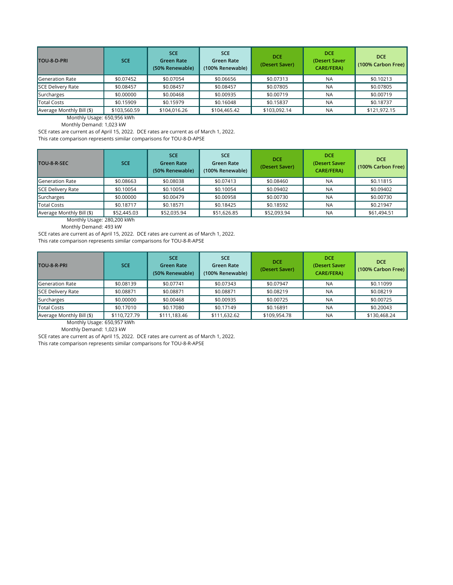Monthly Usage: 650,956 kWh

Monthly Demand: 1,023 kW

SCE rates are current as of April 15, 2022. DCE rates are current as of March 1, 2022. This rate comparison represents similar comparisons for TOU-8-D-APSE

Monthly Usage: 280,200 kWh

Monthly Demand: 493 kW

SCE rates are current as of April 15, 2022. DCE rates are current as of March 1, 2022.

This rate comparison represents similar comparisons for TOU-8-R-APSE

| <b>TOU-8-D-PRI</b>        | <b>SCE</b>   | <b>SCE</b><br><b>Green Rate</b><br>(50% Renewable) | <b>SCE</b><br><b>Green Rate</b><br>(100% Renewable) | <b>DCE</b><br>(Desert Saver) | <b>DCE</b><br>(Desert Saver<br><b>CARE/FERA)</b> | <b>DCE</b><br>(100% Carbon Free) |
|---------------------------|--------------|----------------------------------------------------|-----------------------------------------------------|------------------------------|--------------------------------------------------|----------------------------------|
| Generation Rate           | \$0.07452    | \$0.07054                                          | \$0.06656                                           | \$0.07313                    | <b>NA</b>                                        | \$0.10213                        |
| <b>SCE Delivery Rate</b>  | \$0.08457    | \$0.08457                                          | \$0.08457                                           | \$0.07805                    | <b>NA</b>                                        | \$0.07805                        |
| Surcharges                | \$0.00000    | \$0.00468                                          | \$0.00935                                           | \$0.00719                    | <b>NA</b>                                        | \$0.00719                        |
| <b>Total Costs</b>        | \$0.15909    | \$0.15979                                          | \$0.16048                                           | \$0.15837                    | <b>NA</b>                                        | \$0.18737                        |
| Average Monthly Bill (\$) | \$103,560.59 | \$104,016.26                                       | \$104,465.42                                        | \$103,092.14                 | <b>NA</b>                                        | \$121,972.15                     |

| TOU-8-R-SEC               | <b>SCE</b>  | <b>SCE</b><br><b>Green Rate</b><br>(50% Renewable) | <b>SCE</b><br><b>Green Rate</b><br>(100% Renewable) | <b>DCE</b><br>(Desert Saver) | <b>DCE</b><br>(Desert Saver<br><b>CARE/FERA)</b> | <b>DCE</b><br>(100% Carbon Free) |
|---------------------------|-------------|----------------------------------------------------|-----------------------------------------------------|------------------------------|--------------------------------------------------|----------------------------------|
| <b>Generation Rate</b>    | \$0.08663   | \$0.08038                                          | \$0.07413                                           | \$0.08460                    | <b>NA</b>                                        | \$0.11815                        |
| SCE Delivery Rate         | \$0.10054   | \$0.10054                                          | \$0.10054                                           | \$0.09402                    | <b>NA</b>                                        | \$0.09402                        |
| Surcharges                | \$0.00000   | \$0.00479                                          | \$0.00958                                           | \$0.00730                    | <b>NA</b>                                        | \$0.00730                        |
| Total Costs               | \$0.18717   | \$0.18571                                          | \$0.18425                                           | \$0.18592                    | <b>NA</b>                                        | \$0.21947                        |
| Average Monthly Bill (\$) | \$52,445.03 | \$52,035.94                                        | \$51,626.85                                         | \$52,093.94                  | <b>NA</b>                                        | \$61,494.51                      |

Monthly Usage: 650,957 kWh

Monthly Demand: 1,023 kW

SCE rates are current as of April 15, 2022. DCE rates are current as of March 1, 2022.

| TOU-8-R-PRI               | <b>SCE</b>   | <b>SCE</b><br><b>Green Rate</b><br>(50% Renewable) | <b>SCE</b><br>Green Rate<br>(100% Renewable) | <b>DCE</b><br>(Desert Saver) | <b>DCE</b><br>(Desert Saver<br><b>CARE/FERA)</b> | <b>DCE</b><br>(100% Carbon Free) |
|---------------------------|--------------|----------------------------------------------------|----------------------------------------------|------------------------------|--------------------------------------------------|----------------------------------|
| Generation Rate           | \$0.08139    | \$0.07741                                          | \$0.07343                                    | \$0.07947                    | <b>NA</b>                                        | \$0.11099                        |
| SCE Delivery Rate         | \$0.08871    | \$0.08871                                          | \$0.08871                                    | \$0.08219                    | <b>NA</b>                                        | \$0.08219                        |
| Surcharges                | \$0.00000    | \$0.00468                                          | \$0.00935                                    | \$0.00725                    | <b>NA</b>                                        | \$0.00725                        |
| Total Costs               | \$0.17010    | \$0.17080                                          | \$0.17149                                    | \$0.16891                    | <b>NA</b>                                        | \$0.20043                        |
| Average Monthly Bill (\$) | \$110,727.79 | \$111,183.46                                       | \$111,632.62                                 | \$109,954.78                 | <b>NA</b>                                        | \$130,468.24                     |

This rate comparison represents similar comparisons for TOU-8-R-APSE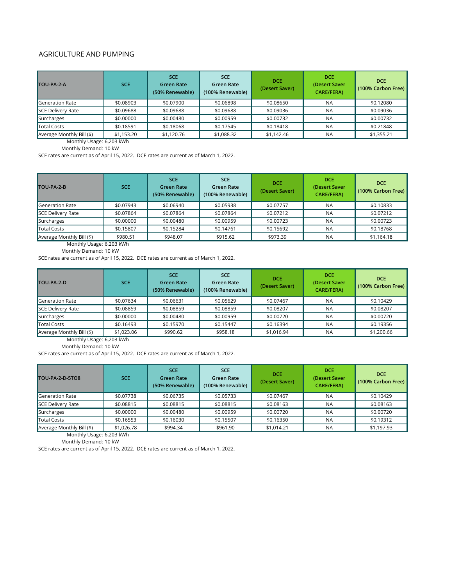### AGRICULTURE AND PUMPING

Monthly Usage: 6,203 kWh

Monthly Demand: 10 kW

SCE rates are current as of April 15, 2022. DCE rates are current as of March 1, 2022.

Monthly Usage: 6,203 kWh

Monthly Demand: 10 kW

SCE rates are current as of April 15, 2022. DCE rates are current as of March 1, 2022.

| TOU-PA-2-A                  | <b>SCE</b> | <b>SCE</b><br><b>Green Rate</b><br>(50% Renewable) | <b>SCE</b><br><b>Green Rate</b><br>(100% Renewable) | <b>DCE</b><br>(Desert Saver) | <b>DCE</b><br>(Desert Saver<br><b>CARE/FERA)</b> | <b>DCE</b><br>(100% Carbon Free) |
|-----------------------------|------------|----------------------------------------------------|-----------------------------------------------------|------------------------------|--------------------------------------------------|----------------------------------|
| <b>I</b> Generation Rate    | \$0.08903  | \$0.07900                                          | \$0.06898                                           | \$0.08650                    | <b>NA</b>                                        | \$0.12080                        |
| <b>SCE Delivery Rate</b>    | \$0.09688  | \$0.09688                                          | \$0.09688                                           | \$0.09036                    | <b>NA</b>                                        | \$0.09036                        |
| Surcharges                  | \$0.00000  | \$0.00480                                          | \$0.00959                                           | \$0.00732                    | <b>NA</b>                                        | \$0.00732                        |
| Total Costs                 | \$0.18591  | \$0.18068                                          | \$0.17545                                           | \$0.18418                    | <b>NA</b>                                        | \$0.21848                        |
| Average Monthly Bill $(\$)$ | \$1,153.20 | \$1,120.76                                         | \$1,088.32                                          | \$1,142.46                   | <b>NA</b>                                        | \$1,355.21                       |

Monthly Usage: 6,203 kWh

Monthly Demand: 10 kW

SCE rates are current as of April 15, 2022. DCE rates are current as of March 1, 2022.

| TOU-PA-2-B                     | <b>SCE</b>                                            | <b>SCE</b><br><b>Green Rate</b><br>(50% Renewable) | <b>SCE</b><br><b>Green Rate</b><br>(100% Renewable) | <b>DCE</b><br>(Desert Saver) | <b>DCE</b><br>(Desert Saver<br><b>CARE/FERA)</b> | <b>DCE</b><br>(100% Carbon Free) |
|--------------------------------|-------------------------------------------------------|----------------------------------------------------|-----------------------------------------------------|------------------------------|--------------------------------------------------|----------------------------------|
| <b>Generation Rate</b>         | \$0.07943                                             | \$0.06940                                          | \$0.05938                                           | \$0.07757                    | <b>NA</b>                                        | \$0.10833                        |
| SCE Delivery Rate              | \$0.07864                                             | \$0.07864                                          | \$0.07864                                           | \$0.07212                    | <b>NA</b>                                        | \$0.07212                        |
| Surcharges                     | \$0.00000                                             | \$0.00480                                          | \$0.00959                                           | \$0.00723                    | <b>NA</b>                                        | \$0.00723                        |
| <b>Total Costs</b>             | \$0.15807                                             | \$0.15284                                          | \$0.14761                                           | \$0.15692                    | <b>NA</b>                                        | \$0.18768                        |
| Average Monthly Bill (\$)<br>. | \$980.51<br>$\sim$ $\sim$ $\sim$ $\sim$ $\sim$ $\sim$ | \$948.07                                           | \$915.62                                            | \$973.39                     | <b>NA</b>                                        | \$1,164.18                       |

| TOU-PA-2-D                | <b>SCE</b> | <b>SCE</b><br><b>Green Rate</b><br>(50% Renewable) | <b>SCE</b><br>Green Rate<br>(100% Renewable) | <b>DCE</b><br>(Desert Saver) | <b>DCE</b><br>(Desert Saver)<br><b>CARE/FERA)</b> | <b>DCE</b><br>(100% Carbon Free) |
|---------------------------|------------|----------------------------------------------------|----------------------------------------------|------------------------------|---------------------------------------------------|----------------------------------|
| Generation Rate           | \$0.07634  | \$0.06631                                          | \$0.05629                                    | \$0.07467                    | <b>NA</b>                                         | \$0.10429                        |
| <b>SCE Delivery Rate</b>  | \$0.08859  | \$0.08859                                          | \$0.08859                                    | \$0.08207                    | <b>NA</b>                                         | \$0.08207                        |
| Surcharges                | \$0.00000  | \$0.00480                                          | \$0.00959                                    | \$0.00720                    | <b>NA</b>                                         | \$0.00720                        |
| Total Costs               | \$0.16493  | \$0.15970                                          | \$0.15447                                    | \$0.16394                    | <b>NA</b>                                         | \$0.19356                        |
| Average Monthly Bill (\$) | \$1,023.06 | \$990.62                                           | \$958.18                                     | \$1,016.94                   | <b>NA</b>                                         | \$1,200.66                       |

Monthly Usage: 6,203 kWh Monthly Demand: 10 kW

SCE rates are current as of April 15, 2022. DCE rates are current as of March 1, 2022.

| <b>TOU-PA-2-D-5TO8</b>                         | <b>SCE</b> | <b>SCE</b><br><b>Green Rate</b><br>(50% Renewable) | <b>SCE</b><br><b>Green Rate</b><br>(100% Renewable) | <b>DCE</b><br>(Desert Saver) | <b>DCE</b><br>(Desert Saver<br><b>CARE/FERA)</b> | <b>DCE</b><br>(100% Carbon Free) |
|------------------------------------------------|------------|----------------------------------------------------|-----------------------------------------------------|------------------------------|--------------------------------------------------|----------------------------------|
| Generation Rate                                | \$0.07738  | \$0.06735                                          | \$0.05733                                           | \$0.07467                    | <b>NA</b>                                        | \$0.10429                        |
| <b>SCE Delivery Rate</b>                       | \$0.08815  | \$0.08815                                          | \$0.08815                                           | \$0.08163                    | <b>NA</b>                                        | \$0.08163                        |
| Surcharges                                     | \$0.00000  | \$0.00480                                          | \$0.00959                                           | \$0.00720                    | <b>NA</b>                                        | \$0.00720                        |
| Total Costs                                    | \$0.16553  | \$0.16030                                          | \$0.15507                                           | \$0.16350                    | <b>NA</b>                                        | \$0.19312                        |
| Average Monthly Bill (\$)<br>$M = -1$ . $\Box$ | \$1,026.78 | \$994.34                                           | \$961.90                                            | \$1,014.21                   | <b>NA</b>                                        | \$1,197.93                       |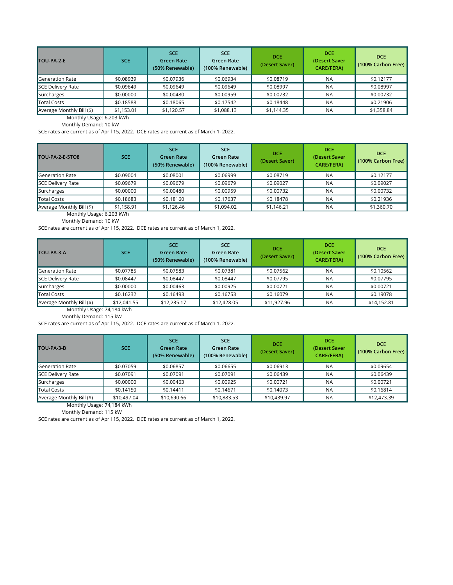Monthly Usage: 6,203 kWh

Monthly Demand: 10 kW

SCE rates are current as of April 15, 2022. DCE rates are current as of March 1, 2022.

Monthly Usage: 6,203 kWh

Monthly Demand: 10 kW

SCE rates are current as of April 15, 2022. DCE rates are current as of March 1, 2022.

| TOU-PA-2-E                | <b>SCE</b> | <b>SCE</b><br><b>Green Rate</b><br>(50% Renewable) | <b>SCE</b><br><b>Green Rate</b><br>(100% Renewable) | <b>DCE</b><br>(Desert Saver) | <b>DCE</b><br>(Desert Saver<br><b>CARE/FERA)</b> | <b>DCE</b><br>(100% Carbon Free) |
|---------------------------|------------|----------------------------------------------------|-----------------------------------------------------|------------------------------|--------------------------------------------------|----------------------------------|
| Generation Rate           | \$0.08939  | \$0.07936                                          | \$0.06934                                           | \$0.08719                    | <b>NA</b>                                        | \$0.12177                        |
| SCE Delivery Rate         | \$0.09649  | \$0.09649                                          | \$0.09649                                           | \$0.08997                    | <b>NA</b>                                        | \$0.08997                        |
| Surcharges                | \$0.00000  | \$0.00480                                          | \$0.00959                                           | \$0.00732                    | <b>NA</b>                                        | \$0.00732                        |
| Total Costs               | \$0.18588  | \$0.18065                                          | \$0.17542                                           | \$0.18448                    | <b>NA</b>                                        | \$0.21906                        |
| Average Monthly Bill (\$) | \$1,153.01 | \$1,120.57                                         | \$1,088.13                                          | \$1,144.35                   | <b>NA</b>                                        | \$1,358.84                       |

Monthly Usage: 74,184 kWh

Monthly Demand: 115 kW

SCE rates are current as of April 15, 2022. DCE rates are current as of March 1, 2022.

| TOU-PA-2-E-5TO8                | <b>SCE</b>                            | <b>SCE</b><br><b>Green Rate</b><br>(50% Renewable) | <b>SCE</b><br><b>Green Rate</b><br>(100% Renewable) | <b>DCE</b><br>(Desert Saver) | <b>DCE</b><br>(Desert Saver<br><b>CARE/FERA)</b> | <b>DCE</b><br>(100% Carbon Free) |
|--------------------------------|---------------------------------------|----------------------------------------------------|-----------------------------------------------------|------------------------------|--------------------------------------------------|----------------------------------|
| <b>I</b> Generation Rate       | \$0.09004                             | \$0.08001                                          | \$0.06999                                           | \$0.08719                    | <b>NA</b>                                        | \$0.12177                        |
| <b>SCE Delivery Rate</b>       | \$0.09679                             | \$0.09679                                          | \$0.09679                                           | \$0.09027                    | <b>NA</b>                                        | \$0.09027                        |
| Surcharges                     | \$0.00000                             | \$0.00480                                          | \$0.00959                                           | \$0.00732                    | <b>NA</b>                                        | \$0.00732                        |
| Total Costs                    | \$0.18683                             | \$0.18160                                          | \$0.17637                                           | \$0.18478                    | <b>NA</b>                                        | \$0.21936                        |
| Average Monthly Bill (\$)<br>. | \$1,158.91<br>$- - - - - - - - - - -$ | \$1,126.46                                         | \$1,094.02                                          | \$1,146.21                   | <b>NA</b>                                        | \$1,360.70                       |

| TOU-PA-3-A                | <b>SCE</b>  | <b>SCE</b><br><b>Green Rate</b><br>(50% Renewable) | <b>SCE</b><br>Green Rate<br>(100% Renewable) | <b>DCE</b><br>(Desert Saver) | <b>DCE</b><br>(Desert Saver<br><b>CARE/FERA)</b> | <b>DCE</b><br>(100% Carbon Free) |
|---------------------------|-------------|----------------------------------------------------|----------------------------------------------|------------------------------|--------------------------------------------------|----------------------------------|
| Generation Rate           | \$0.07785   | \$0.07583                                          | \$0.07381                                    | \$0.07562                    | <b>NA</b>                                        | \$0.10562                        |
| SCE Delivery Rate         | \$0.08447   | \$0.08447                                          | \$0.08447                                    | \$0.07795                    | <b>NA</b>                                        | \$0.07795                        |
| Surcharges                | \$0.00000   | \$0.00463                                          | \$0.00925                                    | \$0.00721                    | <b>NA</b>                                        | \$0.00721                        |
| Total Costs               | \$0.16232   | \$0.16493                                          | \$0.16753                                    | \$0.16079                    | <b>NA</b>                                        | \$0.19078                        |
| Average Monthly Bill (\$) | \$12,041.55 | \$12,235.17                                        | \$12,428.05                                  | \$11,927.96                  | <b>NA</b>                                        | \$14,152.81                      |

Monthly Usage: 74,184 kWh

| TOU-PA-3-B                | <b>SCE</b>  | <b>SCE</b><br><b>Green Rate</b><br>(50% Renewable) | <b>SCE</b><br><b>Green Rate</b><br>(100% Renewable) | <b>DCE</b><br>(Desert Saver) | <b>DCE</b><br>(Desert Saver<br><b>CARE/FERA)</b> | <b>DCE</b><br>(100% Carbon Free) |
|---------------------------|-------------|----------------------------------------------------|-----------------------------------------------------|------------------------------|--------------------------------------------------|----------------------------------|
| Generation Rate           | \$0.07059   | \$0.06857                                          | \$0.06655                                           | \$0.06913                    | <b>NA</b>                                        | \$0.09654                        |
| <b>SCE Delivery Rate</b>  | \$0.07091   | \$0.07091                                          | \$0.07091                                           | \$0.06439                    | <b>NA</b>                                        | \$0.06439                        |
| Surcharges                | \$0.00000   | \$0.00463                                          | \$0.00925                                           | \$0.00721                    | <b>NA</b>                                        | \$0.00721                        |
| Total Costs               | \$0.14150   | \$0.14411                                          | \$0.14671                                           | \$0.14073                    | <b>NA</b>                                        | \$0.16814                        |
| Average Monthly Bill (\$) | \$10,497.04 | \$10,690.66                                        | \$10,883.53                                         | \$10,439.97                  | ΝA                                               | \$12,473.39                      |

Monthly Demand: 115 kW

SCE rates are current as of April 15, 2022. DCE rates are current as of March 1, 2022.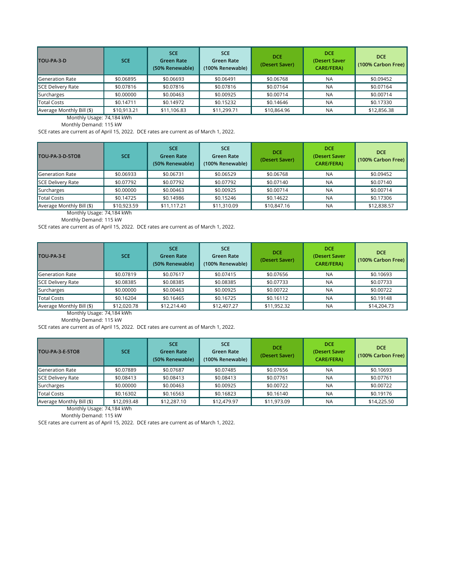Monthly Usage: 74,184 kWh

Monthly Demand: 115 kW

SCE rates are current as of April 15, 2022. DCE rates are current as of March 1, 2022.

Monthly Usage: 74,184 kWh

Monthly Demand: 115 kW

SCE rates are current as of April 15, 2022. DCE rates are current as of March 1, 2022.

| TOU-PA-3-D                               | <b>SCE</b>  | <b>SCE</b><br><b>Green Rate</b><br>(50% Renewable) | <b>SCE</b><br>Green Rate<br>(100% Renewable) | <b>DCE</b><br>(Desert Saver) | <b>DCE</b><br>(Desert Saver<br><b>CARE/FERA)</b> | <b>DCE</b><br>(100% Carbon Free) |
|------------------------------------------|-------------|----------------------------------------------------|----------------------------------------------|------------------------------|--------------------------------------------------|----------------------------------|
| Generation Rate                          | \$0.06895   | \$0.06693                                          | \$0.06491                                    | \$0.06768                    | <b>NA</b>                                        | \$0.09452                        |
| SCE Delivery Rate                        | \$0.07816   | \$0.07816                                          | \$0.07816                                    | \$0.07164                    | <b>NA</b>                                        | \$0.07164                        |
| Surcharges                               | \$0.00000   | \$0.00463                                          | \$0.00925                                    | \$0.00714                    | <b>NA</b>                                        | \$0.00714                        |
| Total Costs                              | \$0.14711   | \$0.14972                                          | \$0.15232                                    | \$0.14646                    | <b>NA</b>                                        | \$0.17330                        |
| $\blacksquare$ Average Monthly Bill (\$) | \$10,913.21 | \$11,106.83                                        | \$11,299.71                                  | \$10,864.96                  | <b>NA</b>                                        | \$12,856.38                      |

Monthly Usage: 74,184 kWh

Monthly Demand: 115 kW

SCE rates are current as of April 15, 2022. DCE rates are current as of March 1, 2022.

| TOU-PA-3-D-5TO8           | <b>SCE</b>  | <b>SCE</b><br><b>Green Rate</b><br>(50% Renewable) | <b>SCE</b><br><b>Green Rate</b><br>(100% Renewable) | <b>DCE</b><br>(Desert Saver) | <b>DCE</b><br>(Desert Saver<br><b>CARE/FERA)</b> | <b>DCE</b><br>(100% Carbon Free) |
|---------------------------|-------------|----------------------------------------------------|-----------------------------------------------------|------------------------------|--------------------------------------------------|----------------------------------|
| <b>Generation Rate</b>    | \$0.06933   | \$0.06731                                          | \$0.06529                                           | \$0.06768                    | <b>NA</b>                                        | \$0.09452                        |
| SCE Delivery Rate         | \$0.07792   | \$0.07792                                          | \$0.07792                                           | \$0.07140                    | <b>NA</b>                                        | \$0.07140                        |
| Surcharges                | \$0.00000   | \$0.00463                                          | \$0.00925                                           | \$0.00714                    | <b>NA</b>                                        | \$0.00714                        |
| Total Costs               | \$0.14725   | \$0.14986                                          | \$0.15246                                           | \$0.14622                    | <b>NA</b>                                        | \$0.17306                        |
| Average Monthly Bill (\$) | \$10,923.59 | \$11,117.21                                        | \$11,310.09                                         | \$10,847.16                  | <b>NA</b>                                        | \$12,838.57                      |

| TOU-PA-3-E                | <b>SCE</b>  | <b>SCE</b><br><b>Green Rate</b><br>(50% Renewable) | <b>SCE</b><br>Green Rate<br>(100% Renewable) | <b>DCE</b><br>(Desert Saver) | <b>DCE</b><br>(Desert Saver<br><b>CARE/FERA)</b> | <b>DCE</b><br>(100% Carbon Free) |
|---------------------------|-------------|----------------------------------------------------|----------------------------------------------|------------------------------|--------------------------------------------------|----------------------------------|
| <b>Generation Rate</b>    | \$0.07819   | \$0.07617                                          | \$0.07415                                    | \$0.07656                    | <b>NA</b>                                        | \$0.10693                        |
| SCE Delivery Rate         | \$0.08385   | \$0.08385                                          | \$0.08385                                    | \$0.07733                    | <b>NA</b>                                        | \$0.07733                        |
| Surcharges                | \$0.00000   | \$0.00463                                          | \$0.00925                                    | \$0.00722                    | <b>NA</b>                                        | \$0.00722                        |
| Total Costs               | \$0.16204   | \$0.16465                                          | \$0.16725                                    | \$0.16112                    | <b>NA</b>                                        | \$0.19148                        |
| Average Monthly Bill (\$) | \$12,020.78 | \$12,214.40                                        | \$12,407.27                                  | \$11,952.32                  | <b>NA</b>                                        | \$14,204.73                      |

Monthly Demand: 115 kW

SCE rates are current as of April 15, 2022. DCE rates are current as of March 1, 2022.

| TOU-PA-3-E-5TO8           | <b>SCE</b>  | <b>SCE</b><br><b>Green Rate</b><br>(50% Renewable) | <b>SCE</b><br><b>Green Rate</b><br>(100% Renewable) | <b>DCE</b><br>(Desert Saver) | <b>DCE</b><br>(Desert Saver<br><b>CARE/FERA)</b> | <b>DCE</b><br>(100% Carbon Free) |
|---------------------------|-------------|----------------------------------------------------|-----------------------------------------------------|------------------------------|--------------------------------------------------|----------------------------------|
| Generation Rate           | \$0.07889   | \$0.07687                                          | \$0.07485                                           | \$0.07656                    | <b>NA</b>                                        | \$0.10693                        |
| SCE Delivery Rate         | \$0.08413   | \$0.08413                                          | \$0.08413                                           | \$0.07761                    | <b>NA</b>                                        | \$0.07761                        |
| Surcharges                | \$0.00000   | \$0.00463                                          | \$0.00925                                           | \$0.00722                    | <b>NA</b>                                        | \$0.00722                        |
| Total Costs               | \$0.16302   | \$0.16563                                          | \$0.16823                                           | \$0.16140                    | <b>NA</b>                                        | \$0.19176                        |
| Average Monthly Bill (\$) | \$12,093.48 | \$12,287.10                                        | \$12,479.97                                         | \$11,973.09                  | <b>NA</b>                                        | \$14,225.50                      |
| Monthly Usage: 74,184 kWh |             |                                                    |                                                     |                              |                                                  |                                  |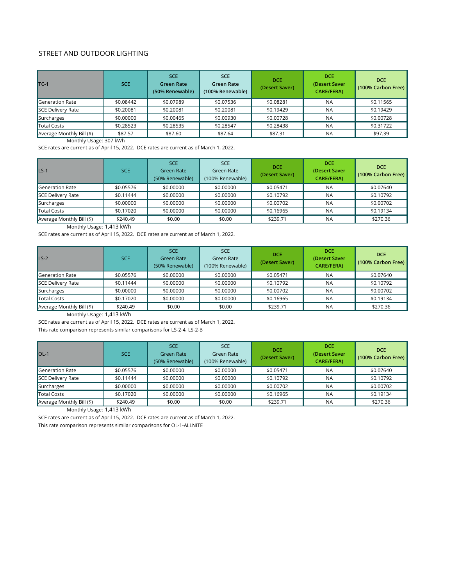# STREET AND OUTDOOR LIGHTING

Monthly Usage: 307 kWh

SCE rates are current as of April 15, 2022. DCE rates are current as of March 1, 2022.

Monthly Usage: 1,413 kWh

SCE rates are current as of April 15, 2022. DCE rates are current as of March 1, 2022.

| $TC-1$                    | <b>SCE</b> | <b>SCE</b><br><b>Green Rate</b><br>(50% Renewable) | <b>SCE</b><br>Green Rate<br>(100% Renewable) | <b>DCE</b><br>(Desert Saver) | <b>DCE</b><br>(Desert Saver<br><b>CARE/FERA)</b> | <b>DCE</b><br>(100% Carbon Free) |
|---------------------------|------------|----------------------------------------------------|----------------------------------------------|------------------------------|--------------------------------------------------|----------------------------------|
| Generation Rate           | \$0.08442  | \$0.07989                                          | \$0.07536                                    | \$0.08281                    | <b>NA</b>                                        | \$0.11565                        |
| SCE Delivery Rate         | \$0.20081  | \$0.20081                                          | \$0.20081                                    | \$0.19429                    | <b>NA</b>                                        | \$0.19429                        |
| Surcharges                | \$0.00000  | \$0.00465                                          | \$0.00930                                    | \$0.00728                    | <b>NA</b>                                        | \$0.00728                        |
| Total Costs               | \$0.28523  | \$0.28535                                          | \$0.28547                                    | \$0.28438                    | <b>NA</b>                                        | \$0.31722                        |
| Average Monthly Bill (\$) | \$87.57    | \$87.60                                            | \$87.64                                      | \$87.31                      | <b>NA</b>                                        | \$97.39                          |

Monthly Usage: 1,413 kWh

SCE rates are current as of April 15, 2022. DCE rates are current as of March 1, 2022.

This rate comparison represents similar comparisons for LS-2-4, LS-2-B

| $LS-1$                    | <b>SCE</b> | <b>SCE</b><br><b>Green Rate</b><br>(50% Renewable) | <b>SCE</b><br>Green Rate<br>(100% Renewable) | <b>DCE</b><br>(Desert Saver) | <b>DCE</b><br>(Desert Saver<br><b>CARE/FERA)</b> | <b>DCE</b><br>(100% Carbon Free) |
|---------------------------|------------|----------------------------------------------------|----------------------------------------------|------------------------------|--------------------------------------------------|----------------------------------|
| Generation Rate           | \$0.05576  | \$0.00000                                          | \$0.00000                                    | \$0.05471                    | <b>NA</b>                                        | \$0.07640                        |
| SCE Delivery Rate         | \$0.11444  | \$0.00000                                          | \$0.00000                                    | \$0.10792                    | <b>NA</b>                                        | \$0.10792                        |
| Surcharges                | \$0.00000  | \$0.00000                                          | \$0.00000                                    | \$0.00702                    | <b>NA</b>                                        | \$0.00702                        |
| Total Costs               | \$0.17020  | \$0.00000                                          | \$0.00000                                    | \$0.16965                    | <b>NA</b>                                        | \$0.19134                        |
| Average Monthly Bill (\$) | \$240.49   | \$0.00                                             | \$0.00                                       | \$239.71                     | <b>NA</b>                                        | \$270.36                         |

| $LS-2$                    | SCE       | <b>SCE</b><br><b>Green Rate</b><br>(50% Renewable) | <b>SCE</b><br>Green Rate<br>(100% Renewable) | <b>DCE</b><br>(Desert Saver) | <b>DCE</b><br>(Desert Saver<br><b>CARE/FERA)</b> | <b>DCE</b><br>(100% Carbon Free) |
|---------------------------|-----------|----------------------------------------------------|----------------------------------------------|------------------------------|--------------------------------------------------|----------------------------------|
| Generation Rate           | \$0.05576 | \$0.00000                                          | \$0.00000                                    | \$0.05471                    | <b>NA</b>                                        | \$0.07640                        |
| SCE Delivery Rate         | \$0.11444 | \$0.00000                                          | \$0.00000                                    | \$0.10792                    | <b>NA</b>                                        | \$0.10792                        |
| Surcharges                | \$0.00000 | \$0.00000                                          | \$0.00000                                    | \$0.00702                    | <b>NA</b>                                        | \$0.00702                        |
| Total Costs               | \$0.17020 | \$0.00000                                          | \$0.00000                                    | \$0.16965                    | <b>NA</b>                                        | \$0.19134                        |
| Average Monthly Bill (\$) | \$240.49  | \$0.00                                             | \$0.00                                       | \$239.71                     | <b>NA</b>                                        | \$270.36                         |

Monthly Usage: 1,413 kWh

SCE rates are current as of April 15, 2022. DCE rates are current as of March 1, 2022.

| $OL-1$                    | SCE       | <b>SCE</b><br><b>Green Rate</b><br>(50% Renewable) | <b>SCE</b><br>Green Rate<br>(100% Renewable) | <b>DCE</b><br>(Desert Saver) | <b>DCE</b><br>(Desert Saver<br><b>CARE/FERA)</b> | <b>DCE</b><br>(100% Carbon Free) |
|---------------------------|-----------|----------------------------------------------------|----------------------------------------------|------------------------------|--------------------------------------------------|----------------------------------|
| Generation Rate           | \$0.05576 | \$0.00000                                          | \$0.00000                                    | \$0.05471                    | <b>NA</b>                                        | \$0.07640                        |
| SCE Delivery Rate         | \$0.11444 | \$0.00000                                          | \$0.00000                                    | \$0.10792                    | <b>NA</b>                                        | \$0.10792                        |
| Surcharges                | \$0.00000 | \$0.00000                                          | \$0.00000                                    | \$0.00702                    | <b>NA</b>                                        | \$0.00702                        |
| Total Costs               | \$0.17020 | \$0.00000                                          | \$0.00000                                    | \$0.16965                    | <b>NA</b>                                        | \$0.19134                        |
| Average Monthly Bill (\$) | \$240.49  | \$0.00                                             | \$0.00                                       | \$239.71                     | <b>NA</b>                                        | \$270.36                         |

This rate comparison represents similar comparisons for OL-1-ALLNITE